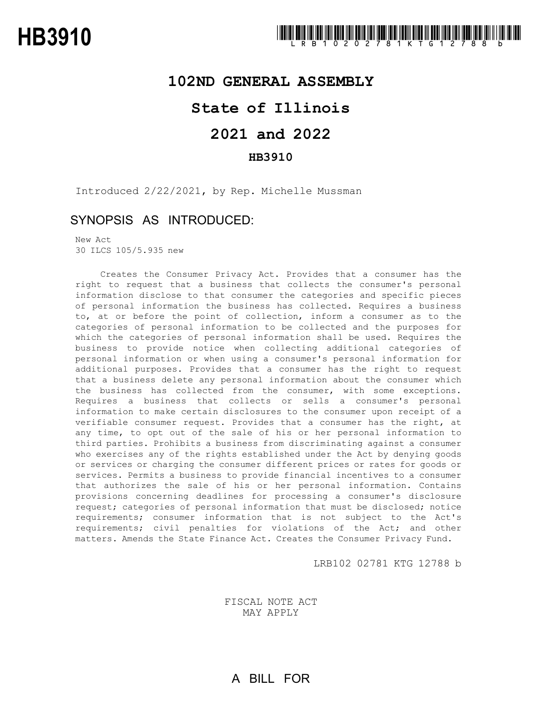## **102ND GENERAL ASSEMBLY**

## **State of Illinois**

# **2021 and 2022**

### **HB3910**

Introduced 2/22/2021, by Rep. Michelle Mussman

## SYNOPSIS AS INTRODUCED:

New Act 30 ILCS 105/5.935 new

Creates the Consumer Privacy Act. Provides that a consumer has the right to request that a business that collects the consumer's personal information disclose to that consumer the categories and specific pieces of personal information the business has collected. Requires a business to, at or before the point of collection, inform a consumer as to the categories of personal information to be collected and the purposes for which the categories of personal information shall be used. Requires the business to provide notice when collecting additional categories of personal information or when using a consumer's personal information for additional purposes. Provides that a consumer has the right to request that a business delete any personal information about the consumer which the business has collected from the consumer, with some exceptions. Requires a business that collects or sells a consumer's personal information to make certain disclosures to the consumer upon receipt of a verifiable consumer request. Provides that a consumer has the right, at any time, to opt out of the sale of his or her personal information to third parties. Prohibits a business from discriminating against a consumer who exercises any of the rights established under the Act by denying goods or services or charging the consumer different prices or rates for goods or services. Permits a business to provide financial incentives to a consumer that authorizes the sale of his or her personal information. Contains provisions concerning deadlines for processing a consumer's disclosure request; categories of personal information that must be disclosed; notice requirements; consumer information that is not subject to the Act's requirements; civil penalties for violations of the Act; and other matters. Amends the State Finance Act. Creates the Consumer Privacy Fund.

LRB102 02781 KTG 12788 b

FISCAL NOTE ACT MAY APPLY

A BILL FOR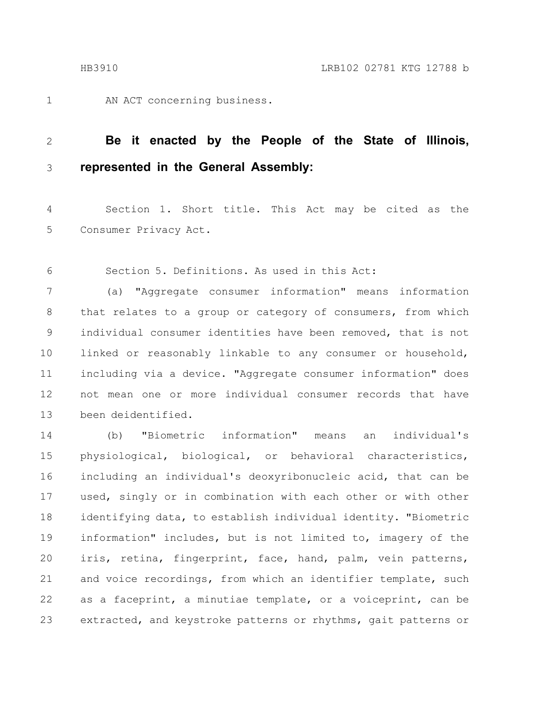1

AN ACT concerning business.

#### **Be it enacted by the People of the State of Illinois, represented in the General Assembly:** 2 3

Section 1. Short title. This Act may be cited as the Consumer Privacy Act. 4 5

Section 5. Definitions. As used in this Act: 6

(a) "Aggregate consumer information" means information that relates to a group or category of consumers, from which individual consumer identities have been removed, that is not linked or reasonably linkable to any consumer or household, including via a device. "Aggregate consumer information" does not mean one or more individual consumer records that have been deidentified. 7 8 9 10 11 12 13

(b) "Biometric information" means an individual's physiological, biological, or behavioral characteristics, including an individual's deoxyribonucleic acid, that can be used, singly or in combination with each other or with other identifying data, to establish individual identity. "Biometric information" includes, but is not limited to, imagery of the iris, retina, fingerprint, face, hand, palm, vein patterns, and voice recordings, from which an identifier template, such as a faceprint, a minutiae template, or a voiceprint, can be extracted, and keystroke patterns or rhythms, gait patterns or 14 15 16 17 18 19 20 21 22 23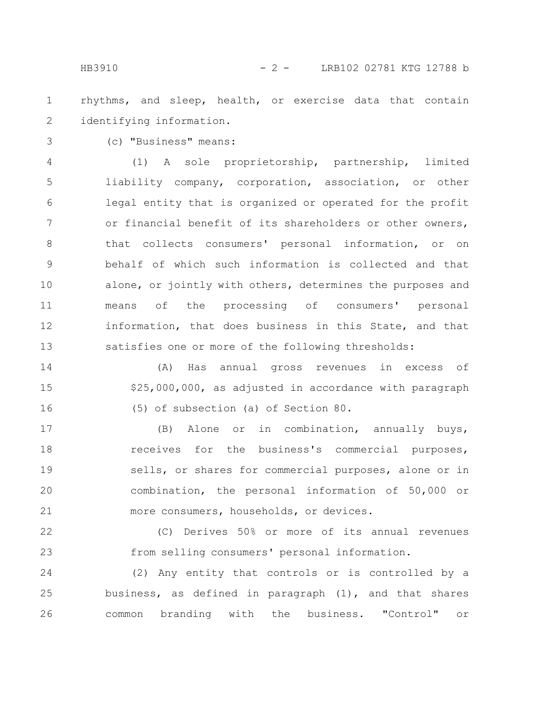rhythms, and sleep, health, or exercise data that contain identifying information. 1 2

3

(c) "Business" means:

(1) A sole proprietorship, partnership, limited liability company, corporation, association, or other legal entity that is organized or operated for the profit or financial benefit of its shareholders or other owners, that collects consumers' personal information, or on behalf of which such information is collected and that alone, or jointly with others, determines the purposes and means of the processing of consumers' personal information, that does business in this State, and that satisfies one or more of the following thresholds: 4 5 6 7 8 9 10 11 12 13

(A) Has annual gross revenues in excess of \$25,000,000, as adjusted in accordance with paragraph (5) of subsection (a) of Section 80. 14 15 16

(B) Alone or in combination, annually buys, receives for the business's commercial purposes, sells, or shares for commercial purposes, alone or in combination, the personal information of 50,000 or more consumers, households, or devices. 17 18 19 20 21

(C) Derives 50% or more of its annual revenues from selling consumers' personal information. 22 23

(2) Any entity that controls or is controlled by a business, as defined in paragraph (1), and that shares common branding with the business. "Control" or 24 25 26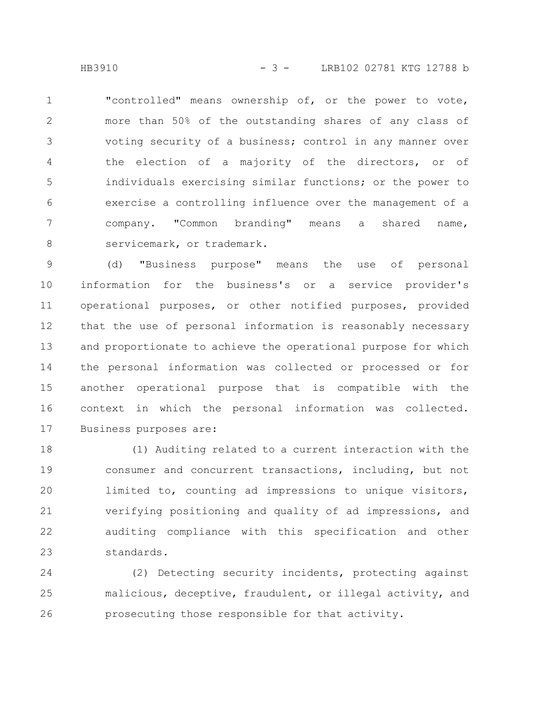HB3910 - 3 - LRB102 02781 KTG 12788 b

"controlled" means ownership of, or the power to vote, more than 50% of the outstanding shares of any class of voting security of a business; control in any manner over the election of a majority of the directors, or of individuals exercising similar functions; or the power to exercise a controlling influence over the management of a company. "Common branding" means a shared name, servicemark, or trademark. 1 2 3 4 5 6 7 8

(d) "Business purpose" means the use of personal information for the business's or a service provider's operational purposes, or other notified purposes, provided that the use of personal information is reasonably necessary and proportionate to achieve the operational purpose for which the personal information was collected or processed or for another operational purpose that is compatible with the context in which the personal information was collected. Business purposes are: 9 10 11 12 13 14 15 16 17

(1) Auditing related to a current interaction with the consumer and concurrent transactions, including, but not limited to, counting ad impressions to unique visitors, verifying positioning and quality of ad impressions, and auditing compliance with this specification and other standards. 18 19 20 21 22 23

(2) Detecting security incidents, protecting against malicious, deceptive, fraudulent, or illegal activity, and prosecuting those responsible for that activity. 24 25 26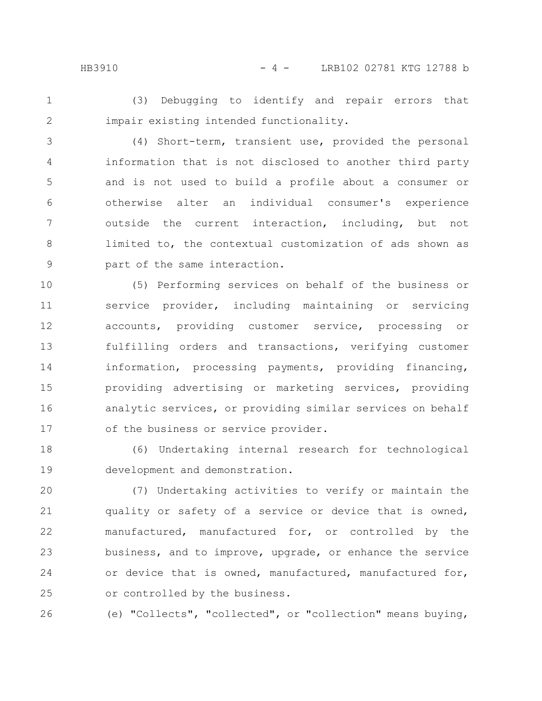HB3910 - 4 - LRB102 02781 KTG 12788 b

1

(3) Debugging to identify and repair errors that impair existing intended functionality.

2

(4) Short-term, transient use, provided the personal information that is not disclosed to another third party and is not used to build a profile about a consumer or otherwise alter an individual consumer's experience outside the current interaction, including, but not limited to, the contextual customization of ads shown as part of the same interaction. 3 4 5 6 7 8 9

(5) Performing services on behalf of the business or service provider, including maintaining or servicing accounts, providing customer service, processing or fulfilling orders and transactions, verifying customer information, processing payments, providing financing, providing advertising or marketing services, providing analytic services, or providing similar services on behalf of the business or service provider. 10 11 12 13 14 15 16 17

(6) Undertaking internal research for technological development and demonstration. 18 19

(7) Undertaking activities to verify or maintain the quality or safety of a service or device that is owned, manufactured, manufactured for, or controlled by the business, and to improve, upgrade, or enhance the service or device that is owned, manufactured, manufactured for, or controlled by the business. 20 21 22 23 24 25

(e) "Collects", "collected", or "collection" means buying, 26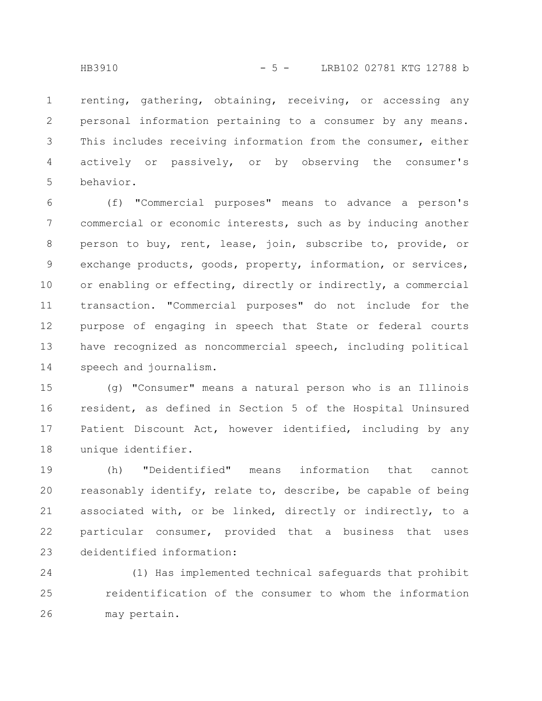renting, gathering, obtaining, receiving, or accessing any personal information pertaining to a consumer by any means. This includes receiving information from the consumer, either actively or passively, or by observing the consumer's behavior. 1 2 3 4 5

(f) "Commercial purposes" means to advance a person's commercial or economic interests, such as by inducing another person to buy, rent, lease, join, subscribe to, provide, or exchange products, goods, property, information, or services, or enabling or effecting, directly or indirectly, a commercial transaction. "Commercial purposes" do not include for the purpose of engaging in speech that State or federal courts have recognized as noncommercial speech, including political speech and journalism. 6 7 8 9 10 11 12 13 14

(g) "Consumer" means a natural person who is an Illinois resident, as defined in Section 5 of the Hospital Uninsured Patient Discount Act, however identified, including by any unique identifier. 15 16 17 18

(h) "Deidentified" means information that cannot reasonably identify, relate to, describe, be capable of being associated with, or be linked, directly or indirectly, to a particular consumer, provided that a business that uses deidentified information: 19 20 21 22 23

(1) Has implemented technical safeguards that prohibit reidentification of the consumer to whom the information may pertain. 24 25 26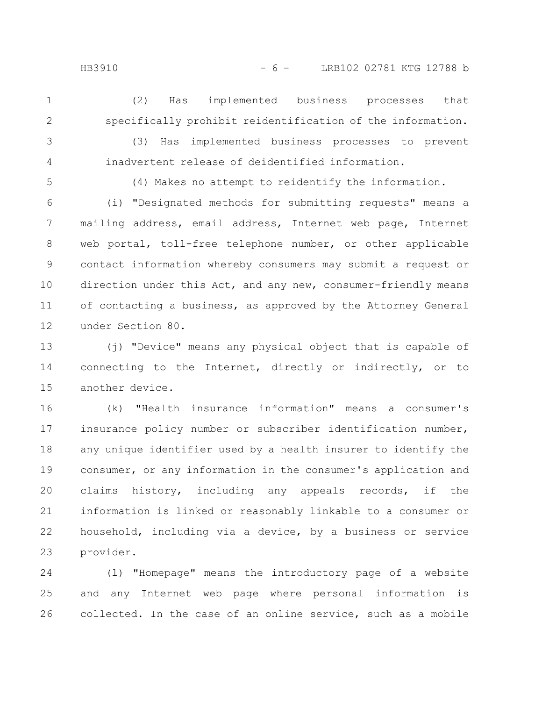(2) Has implemented business processes that specifically prohibit reidentification of the information. 1 2

3 4

(3) Has implemented business processes to prevent inadvertent release of deidentified information.

5

(4) Makes no attempt to reidentify the information.

(i) "Designated methods for submitting requests" means a mailing address, email address, Internet web page, Internet web portal, toll-free telephone number, or other applicable contact information whereby consumers may submit a request or direction under this Act, and any new, consumer-friendly means of contacting a business, as approved by the Attorney General under Section 80. 6 7 8 9 10 11 12

(j) "Device" means any physical object that is capable of connecting to the Internet, directly or indirectly, or to another device. 13 14 15

(k) "Health insurance information" means a consumer's insurance policy number or subscriber identification number, any unique identifier used by a health insurer to identify the consumer, or any information in the consumer's application and claims history, including any appeals records, if the information is linked or reasonably linkable to a consumer or household, including via a device, by a business or service provider. 16 17 18 19 20 21 22 23

(l) "Homepage" means the introductory page of a website and any Internet web page where personal information is collected. In the case of an online service, such as a mobile 24 25 26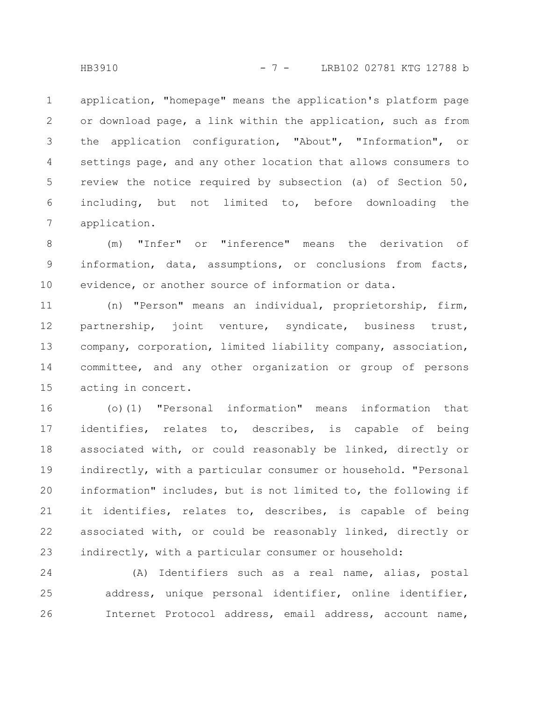application, "homepage" means the application's platform page or download page, a link within the application, such as from the application configuration, "About", "Information", or settings page, and any other location that allows consumers to review the notice required by subsection (a) of Section 50, including, but not limited to, before downloading the application. 1 2 3 4 5 6 7

(m) "Infer" or "inference" means the derivation of information, data, assumptions, or conclusions from facts, evidence, or another source of information or data. 8 9 10

(n) "Person" means an individual, proprietorship, firm, partnership, joint venture, syndicate, business trust, company, corporation, limited liability company, association, committee, and any other organization or group of persons acting in concert. 11 12 13 14 15

(o)(1) "Personal information" means information that identifies, relates to, describes, is capable of being associated with, or could reasonably be linked, directly or indirectly, with a particular consumer or household. "Personal information" includes, but is not limited to, the following if it identifies, relates to, describes, is capable of being associated with, or could be reasonably linked, directly or indirectly, with a particular consumer or household: 16 17 18 19 20 21 22 23

(A) Identifiers such as a real name, alias, postal address, unique personal identifier, online identifier, Internet Protocol address, email address, account name, 24 25 26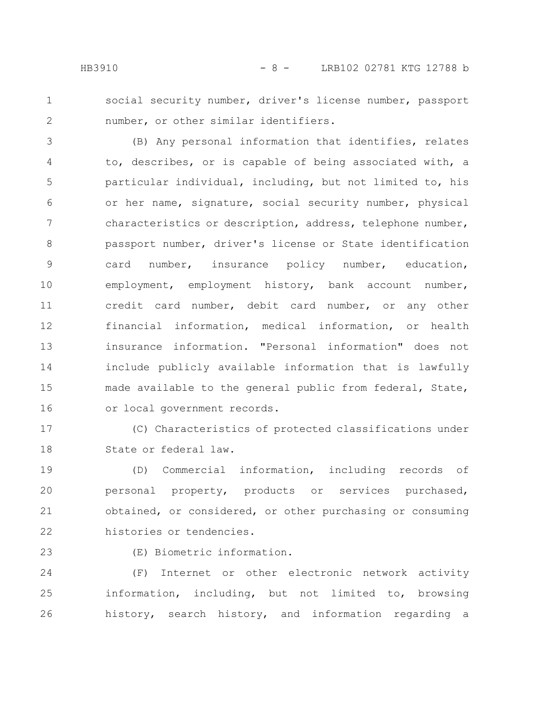1 2 social security number, driver's license number, passport number, or other similar identifiers.

(B) Any personal information that identifies, relates to, describes, or is capable of being associated with, a particular individual, including, but not limited to, his or her name, signature, social security number, physical characteristics or description, address, telephone number, passport number, driver's license or State identification card number, insurance policy number, education, employment, employment history, bank account number, credit card number, debit card number, or any other financial information, medical information, or health insurance information. "Personal information" does not include publicly available information that is lawfully made available to the general public from federal, State, or local government records. 3 4 5 6 7 8 9 10 11 12 13 14 15 16

(C) Characteristics of protected classifications under State or federal law. 17 18

(D) Commercial information, including records of personal property, products or services purchased, obtained, or considered, or other purchasing or consuming histories or tendencies. 19 20 21 22

23

(E) Biometric information.

(F) Internet or other electronic network activity information, including, but not limited to, browsing history, search history, and information regarding a 24 25 26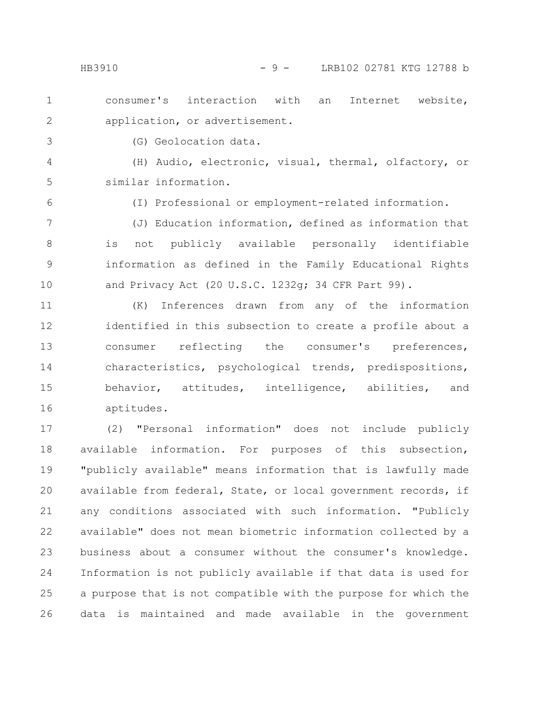- consumer's interaction with an Internet website, application, or advertisement. 1 2
	- (G) Geolocation data.

(H) Audio, electronic, visual, thermal, olfactory, or similar information. 4 5

6

3

(I) Professional or employment-related information.

(J) Education information, defined as information that is not publicly available personally identifiable information as defined in the Family Educational Rights and Privacy Act (20 U.S.C. 1232g; 34 CFR Part 99). 7 8 9 10

(K) Inferences drawn from any of the information identified in this subsection to create a profile about a consumer reflecting the consumer's preferences, characteristics, psychological trends, predispositions, behavior, attitudes, intelligence, abilities, and aptitudes. 11 12 13 14 15 16

(2) "Personal information" does not include publicly available information. For purposes of this subsection, "publicly available" means information that is lawfully made available from federal, State, or local government records, if any conditions associated with such information. "Publicly available" does not mean biometric information collected by a business about a consumer without the consumer's knowledge. Information is not publicly available if that data is used for a purpose that is not compatible with the purpose for which the data is maintained and made available in the government 17 18 19 20 21 22 23 24 25 26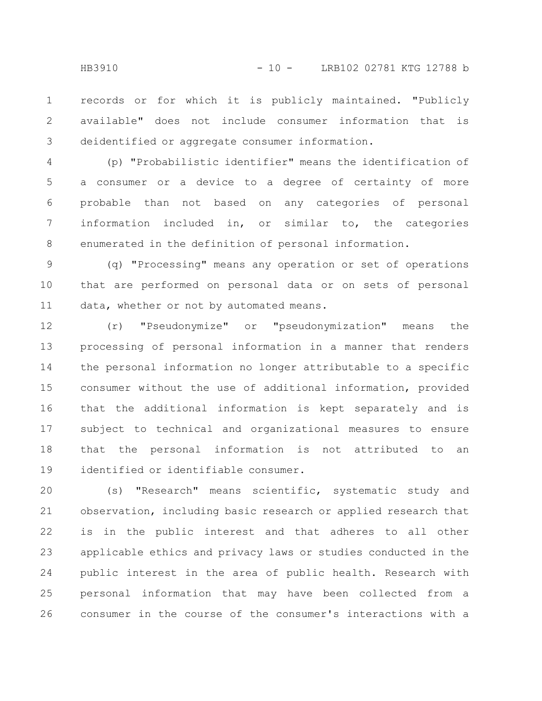records or for which it is publicly maintained. "Publicly available" does not include consumer information that is deidentified or aggregate consumer information. 1 2 3

(p) "Probabilistic identifier" means the identification of a consumer or a device to a degree of certainty of more probable than not based on any categories of personal information included in, or similar to, the categories enumerated in the definition of personal information. 4 5 6 7 8

(q) "Processing" means any operation or set of operations that are performed on personal data or on sets of personal data, whether or not by automated means. 9 10 11

(r) "Pseudonymize" or "pseudonymization" means the processing of personal information in a manner that renders the personal information no longer attributable to a specific consumer without the use of additional information, provided that the additional information is kept separately and is subject to technical and organizational measures to ensure that the personal information is not attributed to an identified or identifiable consumer. 12 13 14 15 16 17 18 19

(s) "Research" means scientific, systematic study and observation, including basic research or applied research that is in the public interest and that adheres to all other applicable ethics and privacy laws or studies conducted in the public interest in the area of public health. Research with personal information that may have been collected from a consumer in the course of the consumer's interactions with a 20 21 22 23 24 25 26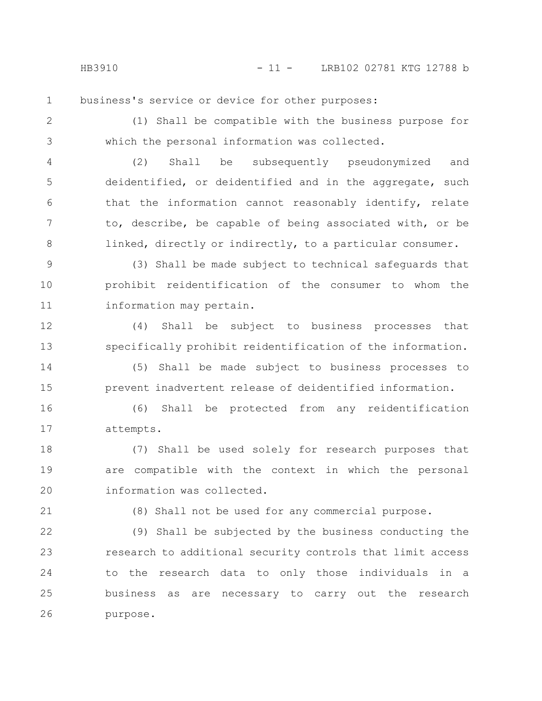business's service or device for other purposes: 1

2

3

(1) Shall be compatible with the business purpose for which the personal information was collected.

(2) Shall be subsequently pseudonymized and deidentified, or deidentified and in the aggregate, such that the information cannot reasonably identify, relate to, describe, be capable of being associated with, or be linked, directly or indirectly, to a particular consumer. 4 5 6 7 8

(3) Shall be made subject to technical safeguards that prohibit reidentification of the consumer to whom the information may pertain. 9 10 11

(4) Shall be subject to business processes that specifically prohibit reidentification of the information. 12 13

(5) Shall be made subject to business processes to prevent inadvertent release of deidentified information. 14 15

(6) Shall be protected from any reidentification attempts. 16 17

(7) Shall be used solely for research purposes that are compatible with the context in which the personal information was collected. 18 19 20

21

(8) Shall not be used for any commercial purpose.

(9) Shall be subjected by the business conducting the research to additional security controls that limit access to the research data to only those individuals in a business as are necessary to carry out the research purpose. 22 23 24 25 26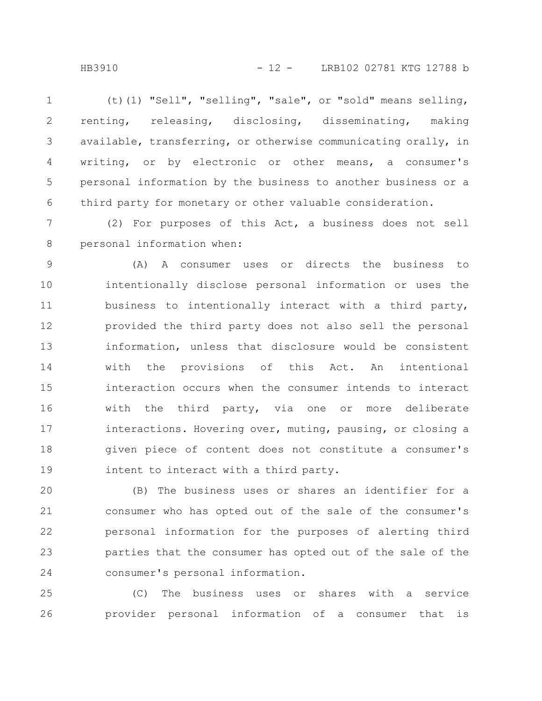(t)(1) "Sell", "selling", "sale", or "sold" means selling, renting, releasing, disclosing, disseminating, making available, transferring, or otherwise communicating orally, in writing, or by electronic or other means, a consumer's personal information by the business to another business or a third party for monetary or other valuable consideration. 1 2 3 4 5 6

(2) For purposes of this Act, a business does not sell personal information when: 7 8

(A) A consumer uses or directs the business to intentionally disclose personal information or uses the business to intentionally interact with a third party, provided the third party does not also sell the personal information, unless that disclosure would be consistent with the provisions of this Act. An intentional interaction occurs when the consumer intends to interact with the third party, via one or more deliberate interactions. Hovering over, muting, pausing, or closing a given piece of content does not constitute a consumer's intent to interact with a third party. 9 10 11 12 13 14 15 16 17 18 19

(B) The business uses or shares an identifier for a consumer who has opted out of the sale of the consumer's personal information for the purposes of alerting third parties that the consumer has opted out of the sale of the consumer's personal information. 20 21 22 23 24

(C) The business uses or shares with a service provider personal information of a consumer that is 25 26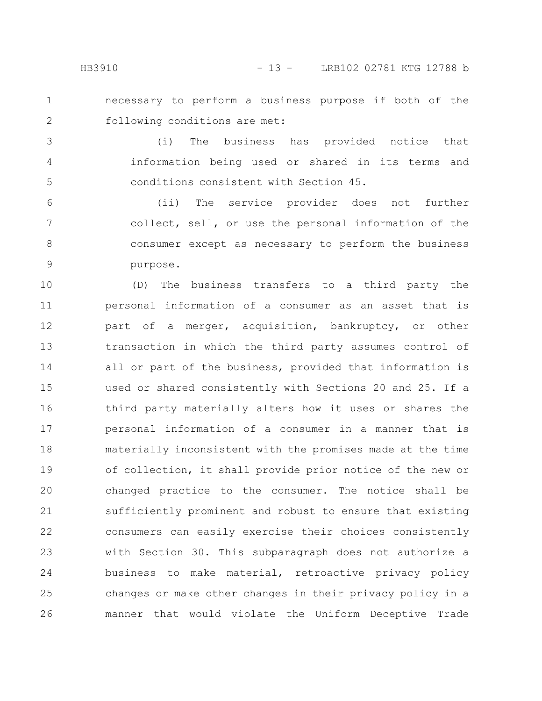necessary to perform a business purpose if both of the following conditions are met: 1 2

(i) The business has provided notice that information being used or shared in its terms and conditions consistent with Section 45. 3 4 5

(ii) The service provider does not further collect, sell, or use the personal information of the consumer except as necessary to perform the business purpose. 6 7 8 9

(D) The business transfers to a third party the personal information of a consumer as an asset that is part of a merger, acquisition, bankruptcy, or other transaction in which the third party assumes control of all or part of the business, provided that information is used or shared consistently with Sections 20 and 25. If a third party materially alters how it uses or shares the personal information of a consumer in a manner that is materially inconsistent with the promises made at the time of collection, it shall provide prior notice of the new or changed practice to the consumer. The notice shall be sufficiently prominent and robust to ensure that existing consumers can easily exercise their choices consistently with Section 30. This subparagraph does not authorize a business to make material, retroactive privacy policy changes or make other changes in their privacy policy in a manner that would violate the Uniform Deceptive Trade 10 11 12 13 14 15 16 17 18 19 20 21 22 23 24 25 26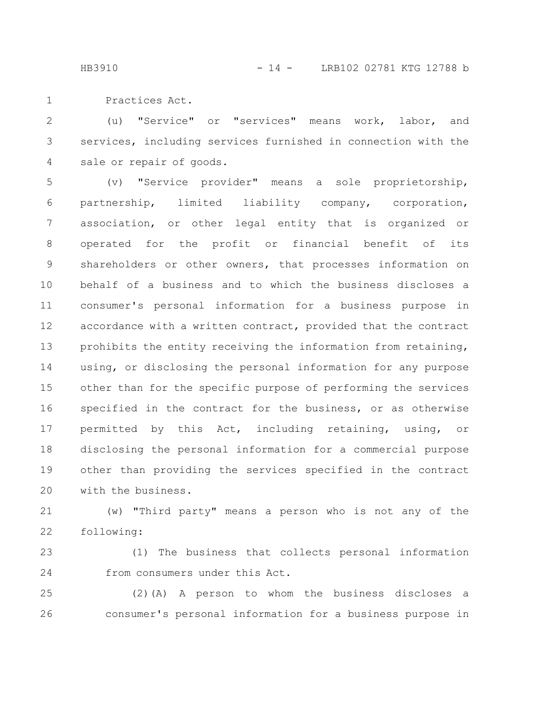Practices Act. 1

(u) "Service" or "services" means work, labor, and services, including services furnished in connection with the sale or repair of goods. 2 3 4

(v) "Service provider" means a sole proprietorship, partnership, limited liability company, corporation, association, or other legal entity that is organized or operated for the profit or financial benefit of its shareholders or other owners, that processes information on behalf of a business and to which the business discloses a consumer's personal information for a business purpose in accordance with a written contract, provided that the contract prohibits the entity receiving the information from retaining, using, or disclosing the personal information for any purpose other than for the specific purpose of performing the services specified in the contract for the business, or as otherwise permitted by this Act, including retaining, using, or disclosing the personal information for a commercial purpose other than providing the services specified in the contract with the business. 5 6 7 8 9 10 11 12 13 14 15 16 17 18 19 20

(w) "Third party" means a person who is not any of the following: 21 22

(1) The business that collects personal information from consumers under this Act. 23 24

(2)(A) A person to whom the business discloses a consumer's personal information for a business purpose in 25 26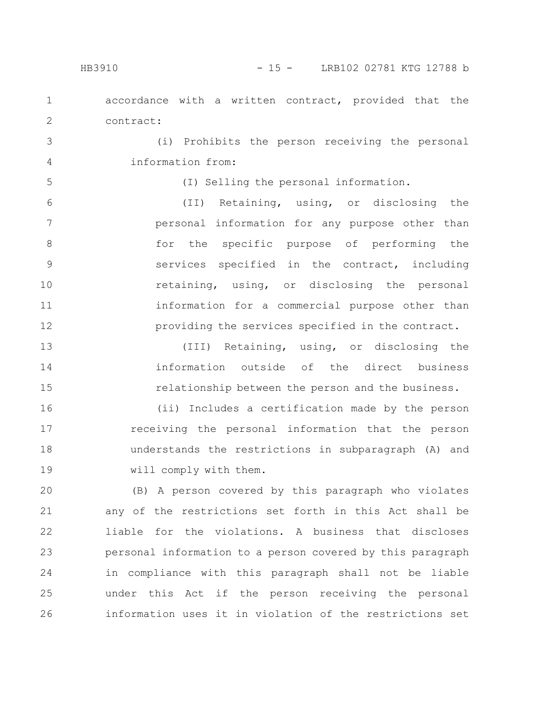accordance with a written contract, provided that the contract: 1 2

(i) Prohibits the person receiving the personal information from:

```
5
```
3

4

(I) Selling the personal information.

(II) Retaining, using, or disclosing the personal information for any purpose other than for the specific purpose of performing the services specified in the contract, including retaining, using, or disclosing the personal information for a commercial purpose other than providing the services specified in the contract. 6 7 8 9 10 11 12

(III) Retaining, using, or disclosing the information outside of the direct business relationship between the person and the business. 13 14 15

(ii) Includes a certification made by the person receiving the personal information that the person understands the restrictions in subparagraph (A) and will comply with them. 16 17 18 19

(B) A person covered by this paragraph who violates any of the restrictions set forth in this Act shall be liable for the violations. A business that discloses personal information to a person covered by this paragraph in compliance with this paragraph shall not be liable under this Act if the person receiving the personal information uses it in violation of the restrictions set 20 21 22 23 24 25 26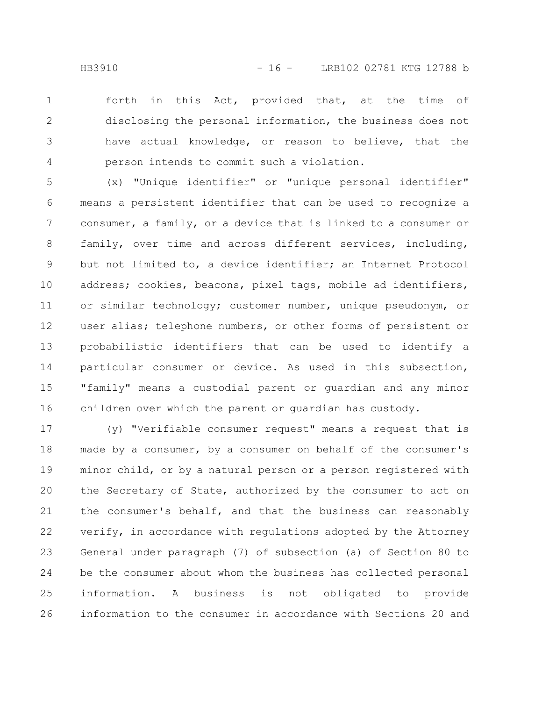forth in this Act, provided that, at the time of disclosing the personal information, the business does not have actual knowledge, or reason to believe, that the person intends to commit such a violation. 1 2 3 4

(x) "Unique identifier" or "unique personal identifier" means a persistent identifier that can be used to recognize a consumer, a family, or a device that is linked to a consumer or family, over time and across different services, including, but not limited to, a device identifier; an Internet Protocol address; cookies, beacons, pixel tags, mobile ad identifiers, or similar technology; customer number, unique pseudonym, or user alias; telephone numbers, or other forms of persistent or probabilistic identifiers that can be used to identify a particular consumer or device. As used in this subsection, "family" means a custodial parent or guardian and any minor children over which the parent or guardian has custody. 5 6 7 8 9 10 11 12 13 14 15 16

(y) "Verifiable consumer request" means a request that is made by a consumer, by a consumer on behalf of the consumer's minor child, or by a natural person or a person registered with the Secretary of State, authorized by the consumer to act on the consumer's behalf, and that the business can reasonably verify, in accordance with regulations adopted by the Attorney General under paragraph (7) of subsection (a) of Section 80 to be the consumer about whom the business has collected personal information. A business is not obligated to provide information to the consumer in accordance with Sections 20 and 17 18 19 20 21 22 23 24 25 26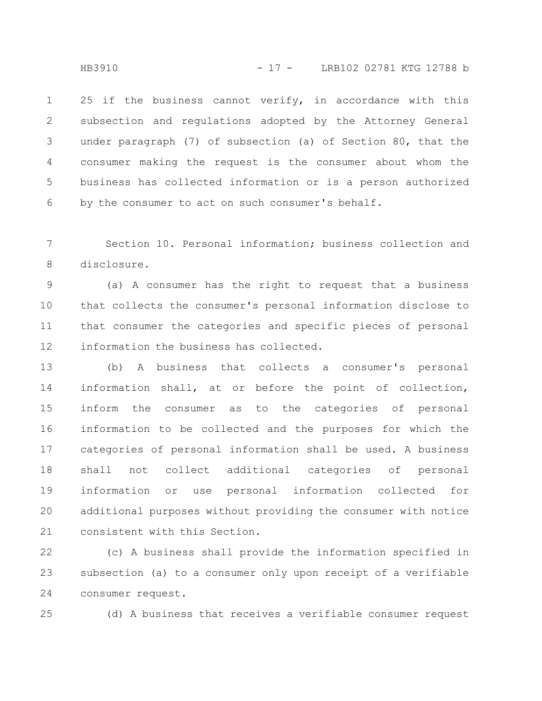25 if the business cannot verify, in accordance with this subsection and regulations adopted by the Attorney General under paragraph (7) of subsection (a) of Section 80, that the consumer making the request is the consumer about whom the business has collected information or is a person authorized by the consumer to act on such consumer's behalf. 1 2 3 4 5 6

Section 10. Personal information; business collection and disclosure. 7 8

(a) A consumer has the right to request that a business that collects the consumer's personal information disclose to that consumer the categories and specific pieces of personal information the business has collected. 9 10 11 12

(b) A business that collects a consumer's personal information shall, at or before the point of collection, inform the consumer as to the categories of personal information to be collected and the purposes for which the categories of personal information shall be used. A business shall not collect additional categories of personal information or use personal information collected for additional purposes without providing the consumer with notice consistent with this Section. 13 14 15 16 17 18 19 20 21

(c) A business shall provide the information specified in subsection (a) to a consumer only upon receipt of a verifiable consumer request. 22 23 24

25

(d) A business that receives a verifiable consumer request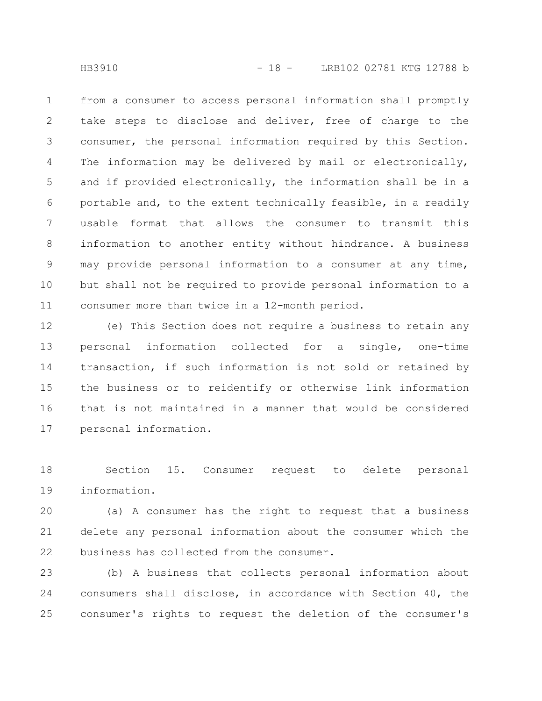from a consumer to access personal information shall promptly take steps to disclose and deliver, free of charge to the consumer, the personal information required by this Section. The information may be delivered by mail or electronically, and if provided electronically, the information shall be in a portable and, to the extent technically feasible, in a readily usable format that allows the consumer to transmit this information to another entity without hindrance. A business may provide personal information to a consumer at any time, but shall not be required to provide personal information to a consumer more than twice in a 12-month period. 1 2 3 4 5 6 7 8 9 10 11

(e) This Section does not require a business to retain any personal information collected for a single, one-time transaction, if such information is not sold or retained by the business or to reidentify or otherwise link information that is not maintained in a manner that would be considered personal information. 12 13 14 15 16 17

Section 15. Consumer request to delete personal information. 18 19

(a) A consumer has the right to request that a business delete any personal information about the consumer which the business has collected from the consumer. 20 21 22

(b) A business that collects personal information about consumers shall disclose, in accordance with Section 40, the consumer's rights to request the deletion of the consumer's 23 24 25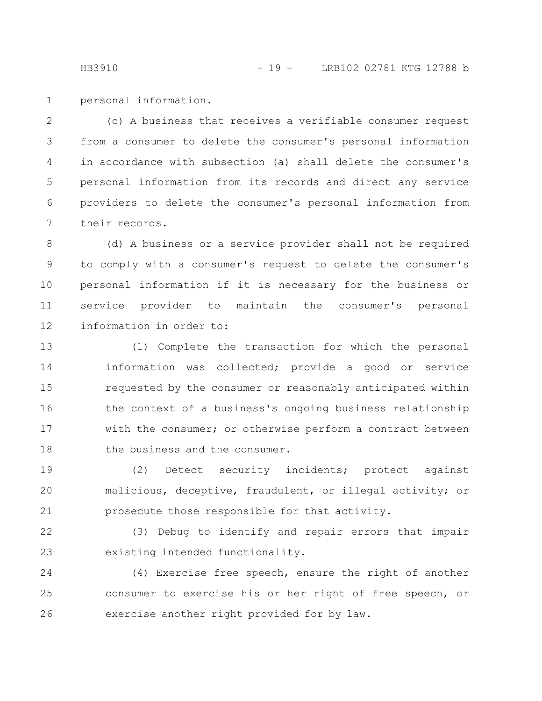personal information. 1

(c) A business that receives a verifiable consumer request from a consumer to delete the consumer's personal information in accordance with subsection (a) shall delete the consumer's personal information from its records and direct any service providers to delete the consumer's personal information from their records. 2 3 4 5 6 7

(d) A business or a service provider shall not be required to comply with a consumer's request to delete the consumer's personal information if it is necessary for the business or service provider to maintain the consumer's personal information in order to: 8 9 10 11 12

(1) Complete the transaction for which the personal information was collected; provide a good or service requested by the consumer or reasonably anticipated within the context of a business's ongoing business relationship with the consumer; or otherwise perform a contract between the business and the consumer. 13 14 15 16 17 18

(2) Detect security incidents; protect against malicious, deceptive, fraudulent, or illegal activity; or prosecute those responsible for that activity. 19 20 21

(3) Debug to identify and repair errors that impair existing intended functionality. 22 23

(4) Exercise free speech, ensure the right of another consumer to exercise his or her right of free speech, or exercise another right provided for by law. 24 25 26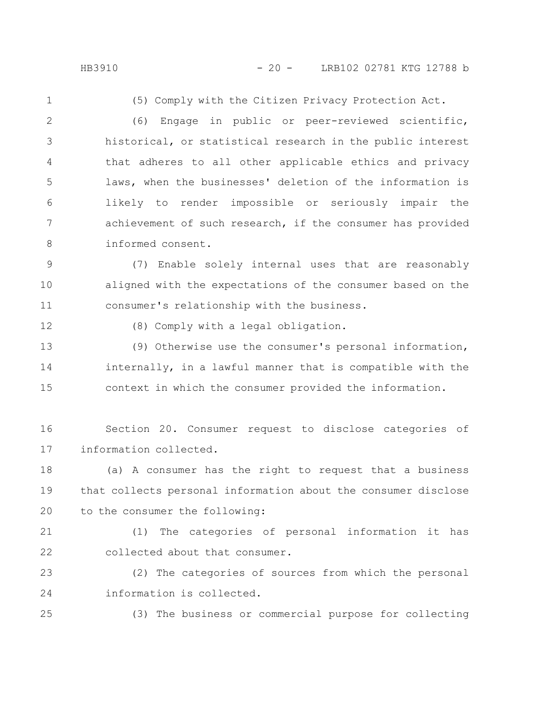1

(5) Comply with the Citizen Privacy Protection Act.

(6) Engage in public or peer-reviewed scientific, historical, or statistical research in the public interest that adheres to all other applicable ethics and privacy laws, when the businesses' deletion of the information is likely to render impossible or seriously impair the achievement of such research, if the consumer has provided informed consent. 2 3 4 5 6 7 8

(7) Enable solely internal uses that are reasonably aligned with the expectations of the consumer based on the consumer's relationship with the business. 9 10 11

12

(8) Comply with a legal obligation.

(9) Otherwise use the consumer's personal information, internally, in a lawful manner that is compatible with the context in which the consumer provided the information. 13 14 15

Section 20. Consumer request to disclose categories of information collected. 16 17

(a) A consumer has the right to request that a business that collects personal information about the consumer disclose to the consumer the following: 18 19 20

21

22

(1) The categories of personal information it has collected about that consumer.

(2) The categories of sources from which the personal information is collected. 23 24

25

(3) The business or commercial purpose for collecting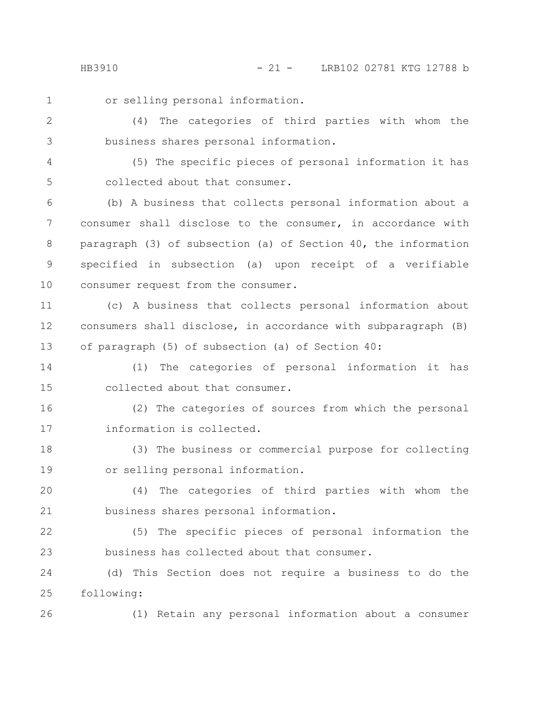1

or selling personal information.

(4) The categories of third parties with whom the business shares personal information. 2 3

(5) The specific pieces of personal information it has collected about that consumer. 4 5

(b) A business that collects personal information about a consumer shall disclose to the consumer, in accordance with paragraph (3) of subsection (a) of Section 40, the information specified in subsection (a) upon receipt of a verifiable consumer request from the consumer. 6 7 8 9 10

(c) A business that collects personal information about consumers shall disclose, in accordance with subparagraph (B) of paragraph (5) of subsection (a) of Section 40: 11 12 13

(1) The categories of personal information it has collected about that consumer. 14 15

(2) The categories of sources from which the personal information is collected. 16 17

(3) The business or commercial purpose for collecting or selling personal information. 18 19

(4) The categories of third parties with whom the business shares personal information. 20 21

(5) The specific pieces of personal information the business has collected about that consumer. 22 23

(d) This Section does not require a business to do the following: 24 25

26

(1) Retain any personal information about a consumer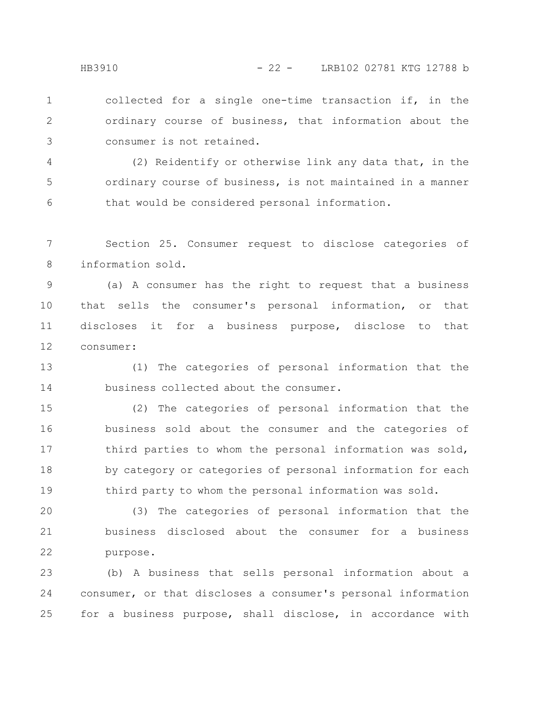collected for a single one-time transaction if, in the ordinary course of business, that information about the consumer is not retained. 1 2 3

(2) Reidentify or otherwise link any data that, in the ordinary course of business, is not maintained in a manner that would be considered personal information. 4 5 6

Section 25. Consumer request to disclose categories of information sold. 7 8

(a) A consumer has the right to request that a business that sells the consumer's personal information, or that discloses it for a business purpose, disclose to that consumer: 9 10 11 12

(1) The categories of personal information that the business collected about the consumer. 13 14

(2) The categories of personal information that the business sold about the consumer and the categories of third parties to whom the personal information was sold, by category or categories of personal information for each third party to whom the personal information was sold. 15 16 17 18 19

(3) The categories of personal information that the business disclosed about the consumer for a business purpose. 20 21 22

(b) A business that sells personal information about a consumer, or that discloses a consumer's personal information for a business purpose, shall disclose, in accordance with 23 24 25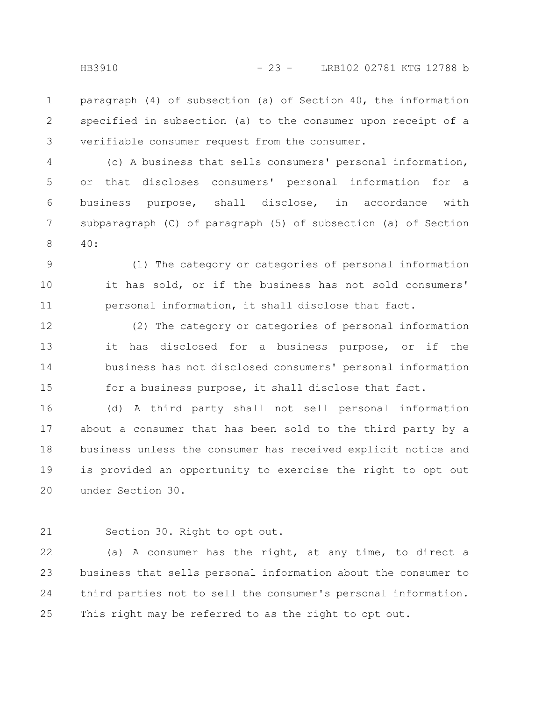paragraph (4) of subsection (a) of Section 40, the information specified in subsection (a) to the consumer upon receipt of a verifiable consumer request from the consumer. 1 2 3

(c) A business that sells consumers' personal information, or that discloses consumers' personal information for a business purpose, shall disclose, in accordance with subparagraph (C) of paragraph (5) of subsection (a) of Section 40: 4 5 6 7 8

(1) The category or categories of personal information it has sold, or if the business has not sold consumers' personal information, it shall disclose that fact. 9 10 11

(2) The category or categories of personal information it has disclosed for a business purpose, or if the business has not disclosed consumers' personal information for a business purpose, it shall disclose that fact. 12 13 14 15

(d) A third party shall not sell personal information about a consumer that has been sold to the third party by a business unless the consumer has received explicit notice and is provided an opportunity to exercise the right to opt out under Section 30. 16 17 18 19 20

Section 30. Right to opt out. 21

(a) A consumer has the right, at any time, to direct a business that sells personal information about the consumer to third parties not to sell the consumer's personal information. This right may be referred to as the right to opt out. 22 23 24 25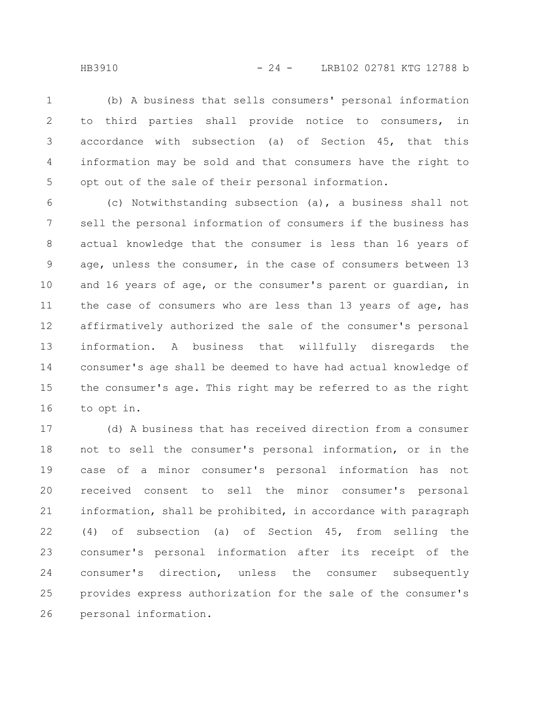(b) A business that sells consumers' personal information to third parties shall provide notice to consumers, in accordance with subsection (a) of Section 45, that this information may be sold and that consumers have the right to opt out of the sale of their personal information. 1 2 3 4 5

(c) Notwithstanding subsection (a), a business shall not sell the personal information of consumers if the business has actual knowledge that the consumer is less than 16 years of age, unless the consumer, in the case of consumers between 13 and 16 years of age, or the consumer's parent or guardian, in the case of consumers who are less than 13 years of age, has affirmatively authorized the sale of the consumer's personal information. A business that willfully disregards the consumer's age shall be deemed to have had actual knowledge of the consumer's age. This right may be referred to as the right to opt in. 6 7 8 9 10 11 12 13 14 15 16

(d) A business that has received direction from a consumer not to sell the consumer's personal information, or in the case of a minor consumer's personal information has not received consent to sell the minor consumer's personal information, shall be prohibited, in accordance with paragraph (4) of subsection (a) of Section 45, from selling the consumer's personal information after its receipt of the consumer's direction, unless the consumer subsequently provides express authorization for the sale of the consumer's personal information. 17 18 19 20 21 22 23 24 25 26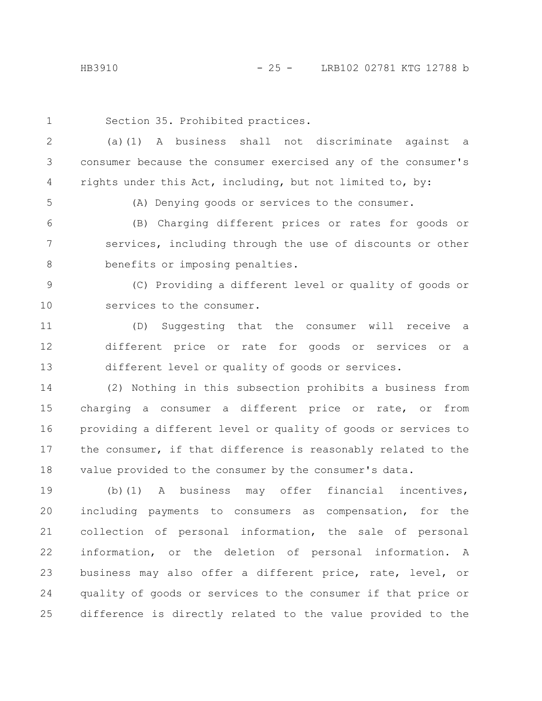1

Section 35. Prohibited practices.

(a)(1) A business shall not discriminate against a consumer because the consumer exercised any of the consumer's rights under this Act, including, but not limited to, by: 2 3 4

5

(A) Denying goods or services to the consumer.

(B) Charging different prices or rates for goods or services, including through the use of discounts or other benefits or imposing penalties. 6 7 8

(C) Providing a different level or quality of goods or services to the consumer. 9 10

(D) Suggesting that the consumer will receive a different price or rate for goods or services or a different level or quality of goods or services. 11 12 13

(2) Nothing in this subsection prohibits a business from charging a consumer a different price or rate, or from providing a different level or quality of goods or services to the consumer, if that difference is reasonably related to the value provided to the consumer by the consumer's data. 14 15 16 17 18

(b)(1) A business may offer financial incentives, including payments to consumers as compensation, for the collection of personal information, the sale of personal information, or the deletion of personal information. A business may also offer a different price, rate, level, or quality of goods or services to the consumer if that price or difference is directly related to the value provided to the 19 20 21 22 23 24 25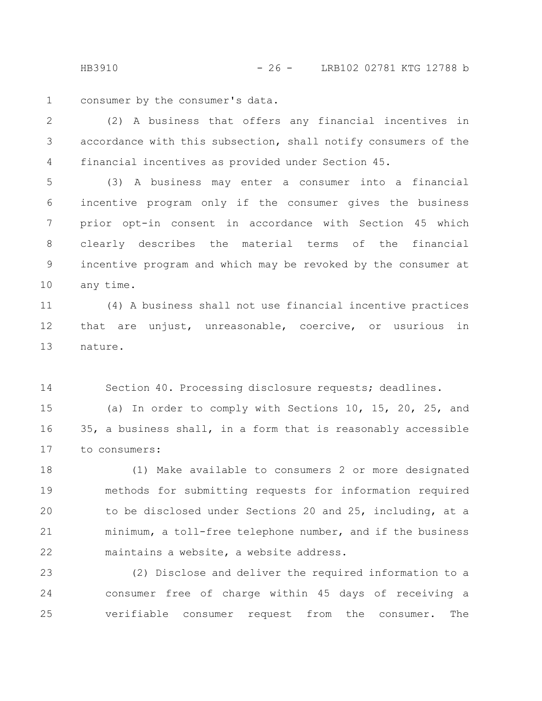consumer by the consumer's data. 1

(2) A business that offers any financial incentives in accordance with this subsection, shall notify consumers of the financial incentives as provided under Section 45. 2 3 4

(3) A business may enter a consumer into a financial incentive program only if the consumer gives the business prior opt-in consent in accordance with Section 45 which clearly describes the material terms of the financial incentive program and which may be revoked by the consumer at any time. 5 6 7 8 9 10

(4) A business shall not use financial incentive practices that are unjust, unreasonable, coercive, or usurious in nature. 11 12 13

Section 40. Processing disclosure requests; deadlines. 14

(a) In order to comply with Sections 10, 15, 20, 25, and 35, a business shall, in a form that is reasonably accessible to consumers: 15 16 17

(1) Make available to consumers 2 or more designated methods for submitting requests for information required to be disclosed under Sections 20 and 25, including, at a minimum, a toll-free telephone number, and if the business maintains a website, a website address. 18 19 20 21 22

(2) Disclose and deliver the required information to a consumer free of charge within 45 days of receiving a verifiable consumer request from the consumer. The 23 24 25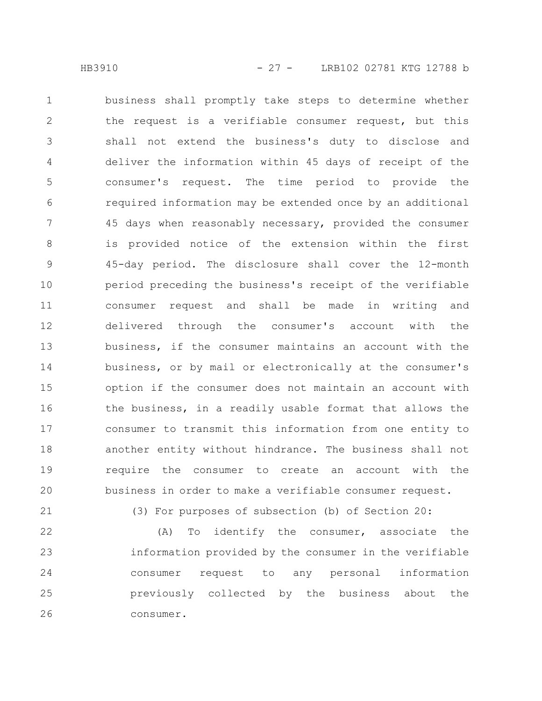business shall promptly take steps to determine whether the request is a verifiable consumer request, but this shall not extend the business's duty to disclose and deliver the information within 45 days of receipt of the consumer's request. The time period to provide the required information may be extended once by an additional 45 days when reasonably necessary, provided the consumer is provided notice of the extension within the first 45-day period. The disclosure shall cover the 12-month period preceding the business's receipt of the verifiable consumer request and shall be made in writing and delivered through the consumer's account with the business, if the consumer maintains an account with the business, or by mail or electronically at the consumer's option if the consumer does not maintain an account with the business, in a readily usable format that allows the consumer to transmit this information from one entity to another entity without hindrance. The business shall not require the consumer to create an account with the business in order to make a verifiable consumer request. 1 2 3 4 5 6 7 8 9 10 11 12 13 14 15 16 17 18 19 20

21

(3) For purposes of subsection (b) of Section 20:

(A) To identify the consumer, associate the information provided by the consumer in the verifiable consumer request to any personal information previously collected by the business about the consumer. 22 23 24 25 26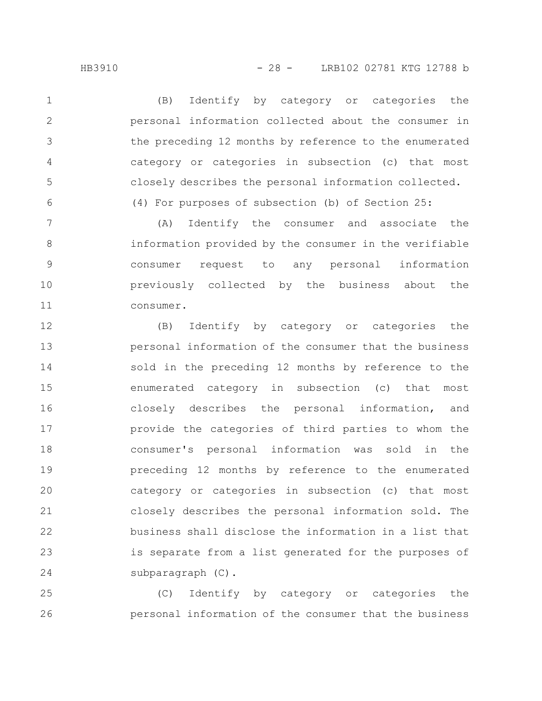1

2

3

4

5

6

(B) Identify by category or categories the personal information collected about the consumer in the preceding 12 months by reference to the enumerated category or categories in subsection (c) that most closely describes the personal information collected. (4) For purposes of subsection (b) of Section 25:

(A) Identify the consumer and associate the information provided by the consumer in the verifiable consumer request to any personal information previously collected by the business about the consumer. 7 8 9 10 11

(B) Identify by category or categories the personal information of the consumer that the business sold in the preceding 12 months by reference to the enumerated category in subsection (c) that most closely describes the personal information, and provide the categories of third parties to whom the consumer's personal information was sold in the preceding 12 months by reference to the enumerated category or categories in subsection (c) that most closely describes the personal information sold. The business shall disclose the information in a list that is separate from a list generated for the purposes of subparagraph (C). 12 13 14 15 16 17 18 19 20 21 22 23 24

(C) Identify by category or categories the personal information of the consumer that the business 25 26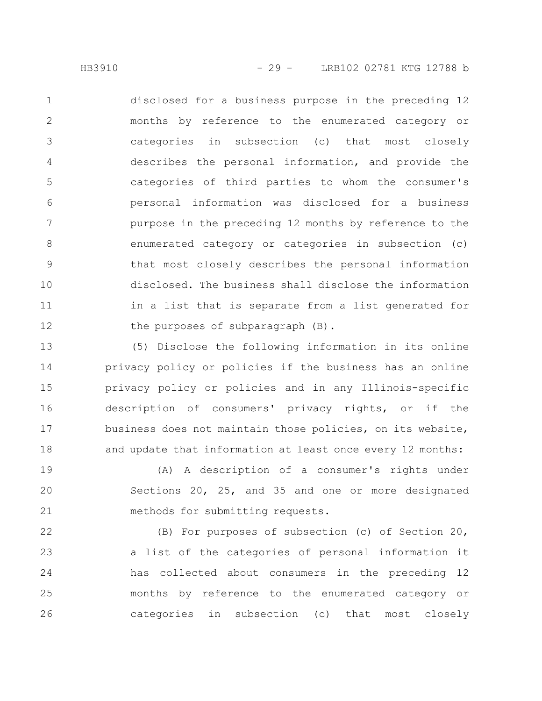disclosed for a business purpose in the preceding 12 months by reference to the enumerated category or categories in subsection (c) that most closely describes the personal information, and provide the categories of third parties to whom the consumer's personal information was disclosed for a business purpose in the preceding 12 months by reference to the enumerated category or categories in subsection (c) that most closely describes the personal information disclosed. The business shall disclose the information in a list that is separate from a list generated for the purposes of subparagraph (B). 1 2 3 4 5 6 7 8 9 10 11 12

(5) Disclose the following information in its online privacy policy or policies if the business has an online privacy policy or policies and in any Illinois-specific description of consumers' privacy rights, or if the business does not maintain those policies, on its website, and update that information at least once every 12 months: 13 14 15 16 17 18

(A) A description of a consumer's rights under Sections 20, 25, and 35 and one or more designated methods for submitting requests. 19 20 21

(B) For purposes of subsection (c) of Section 20, a list of the categories of personal information it has collected about consumers in the preceding 12 months by reference to the enumerated category or categories in subsection (c) that most closely 22 23 24 25 26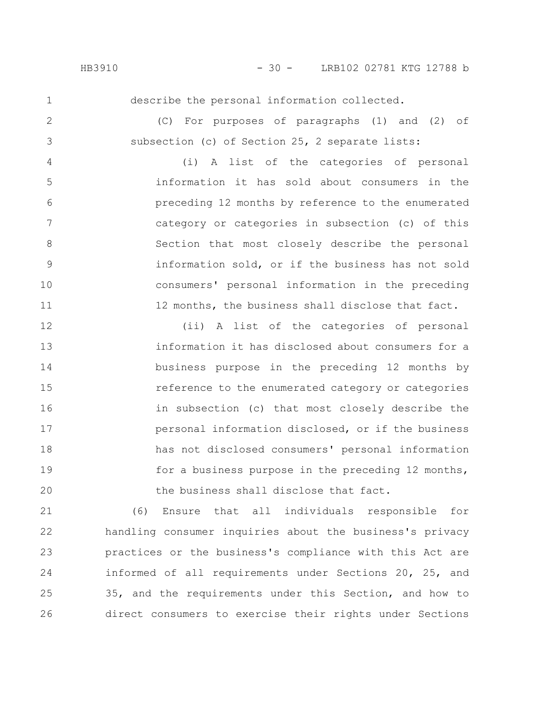1

2

3

describe the personal information collected.

(C) For purposes of paragraphs (1) and (2) of subsection (c) of Section 25, 2 separate lists:

(i) A list of the categories of personal information it has sold about consumers in the preceding 12 months by reference to the enumerated category or categories in subsection (c) of this Section that most closely describe the personal information sold, or if the business has not sold consumers' personal information in the preceding 12 months, the business shall disclose that fact. 4 5 6 7 8 9 10 11

(ii) A list of the categories of personal information it has disclosed about consumers for a business purpose in the preceding 12 months by reference to the enumerated category or categories in subsection (c) that most closely describe the personal information disclosed, or if the business has not disclosed consumers' personal information for a business purpose in the preceding 12 months, the business shall disclose that fact. 12 13 14 15 16 17 18 19 20

(6) Ensure that all individuals responsible for handling consumer inquiries about the business's privacy practices or the business's compliance with this Act are informed of all requirements under Sections 20, 25, and 35, and the requirements under this Section, and how to direct consumers to exercise their rights under Sections 21 22 23 24 25 26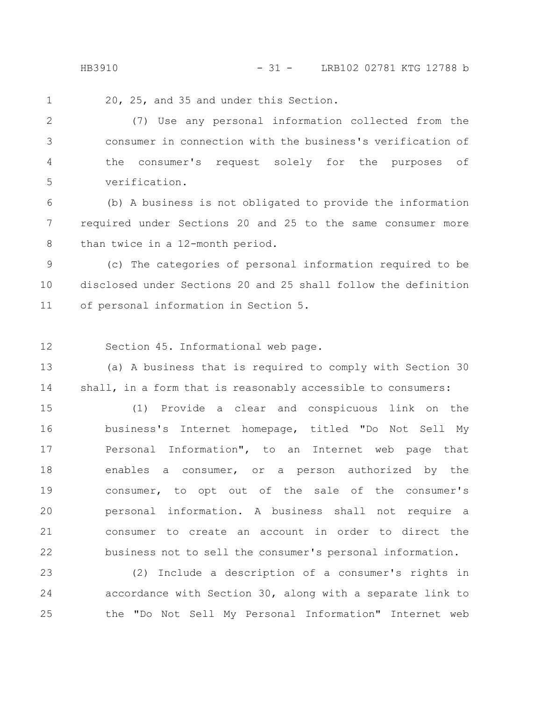HB3910 - 31 - LRB102 02781 KTG 12788 b

20, 25, and 35 and under this Section. 1

(7) Use any personal information collected from the consumer in connection with the business's verification of the consumer's request solely for the purposes of verification. 2 3 4 5

(b) A business is not obligated to provide the information required under Sections 20 and 25 to the same consumer more than twice in a 12-month period. 6 7 8

(c) The categories of personal information required to be disclosed under Sections 20 and 25 shall follow the definition of personal information in Section 5. 9 10 11

Section 45. Informational web page. 12

(a) A business that is required to comply with Section 30 shall, in a form that is reasonably accessible to consumers: 13 14

(1) Provide a clear and conspicuous link on the business's Internet homepage, titled "Do Not Sell My Personal Information", to an Internet web page that enables a consumer, or a person authorized by the consumer, to opt out of the sale of the consumer's personal information. A business shall not require a consumer to create an account in order to direct the business not to sell the consumer's personal information. 15 16 17 18 19 20 21 22

(2) Include a description of a consumer's rights in accordance with Section 30, along with a separate link to the "Do Not Sell My Personal Information" Internet web 23 24 25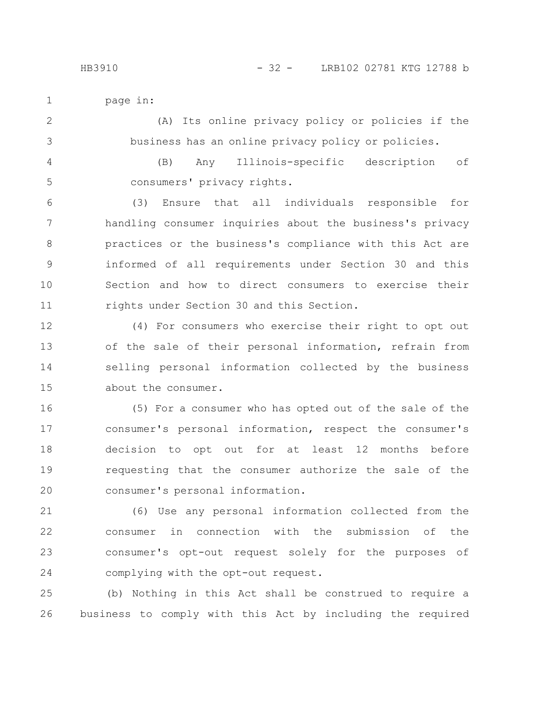page in: 1

(A) Its online privacy policy or policies if the business has an online privacy policy or policies. 2 3

(B) Any Illinois-specific description of consumers' privacy rights. 4 5

(3) Ensure that all individuals responsible for handling consumer inquiries about the business's privacy practices or the business's compliance with this Act are informed of all requirements under Section 30 and this Section and how to direct consumers to exercise their rights under Section 30 and this Section. 6 7 8 9 10 11

(4) For consumers who exercise their right to opt out of the sale of their personal information, refrain from selling personal information collected by the business about the consumer. 12 13 14 15

(5) For a consumer who has opted out of the sale of the consumer's personal information, respect the consumer's decision to opt out for at least 12 months before requesting that the consumer authorize the sale of the consumer's personal information. 16 17 18 19 20

(6) Use any personal information collected from the consumer in connection with the submission of the consumer's opt-out request solely for the purposes of complying with the opt-out request. 21 22 23 24

(b) Nothing in this Act shall be construed to require a business to comply with this Act by including the required 25 26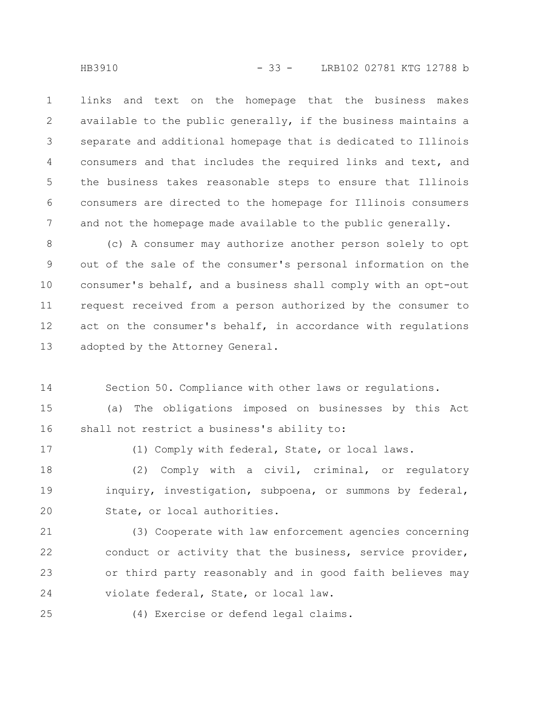links and text on the homepage that the business makes available to the public generally, if the business maintains a separate and additional homepage that is dedicated to Illinois consumers and that includes the required links and text, and the business takes reasonable steps to ensure that Illinois consumers are directed to the homepage for Illinois consumers and not the homepage made available to the public generally. 1 2 3 4 5 6 7

(c) A consumer may authorize another person solely to opt out of the sale of the consumer's personal information on the consumer's behalf, and a business shall comply with an opt-out request received from a person authorized by the consumer to act on the consumer's behalf, in accordance with regulations adopted by the Attorney General. 8 9 10 11 12 13

Section 50. Compliance with other laws or regulations. 14

(a) The obligations imposed on businesses by this Act shall not restrict a business's ability to: 15 16

17

(1) Comply with federal, State, or local laws.

(2) Comply with a civil, criminal, or regulatory inquiry, investigation, subpoena, or summons by federal, State, or local authorities. 18 19 20

(3) Cooperate with law enforcement agencies concerning conduct or activity that the business, service provider, or third party reasonably and in good faith believes may violate federal, State, or local law. 21 22 23 24

25

(4) Exercise or defend legal claims.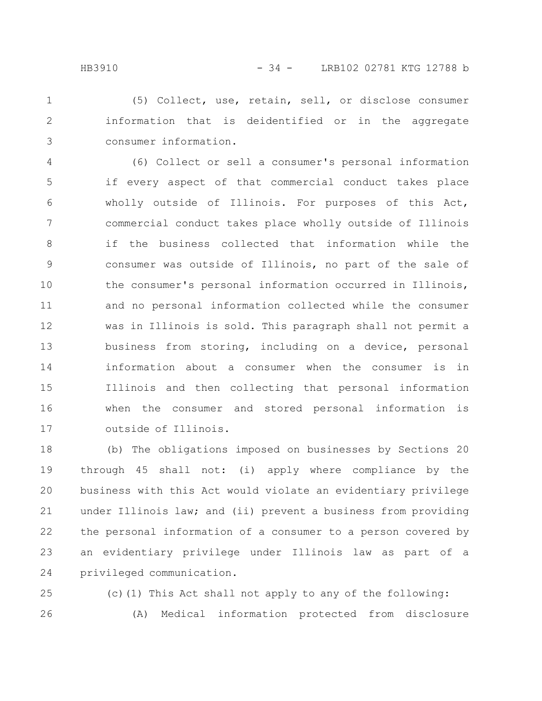(5) Collect, use, retain, sell, or disclose consumer information that is deidentified or in the aggregate consumer information. 1 2 3

(6) Collect or sell a consumer's personal information if every aspect of that commercial conduct takes place wholly outside of Illinois. For purposes of this Act, commercial conduct takes place wholly outside of Illinois if the business collected that information while the consumer was outside of Illinois, no part of the sale of the consumer's personal information occurred in Illinois, and no personal information collected while the consumer was in Illinois is sold. This paragraph shall not permit a business from storing, including on a device, personal information about a consumer when the consumer is in Illinois and then collecting that personal information when the consumer and stored personal information is outside of Illinois. 4 5 6 7 8 9 10 11 12 13 14 15 16 17

(b) The obligations imposed on businesses by Sections 20 through 45 shall not: (i) apply where compliance by the business with this Act would violate an evidentiary privilege under Illinois law; and (ii) prevent a business from providing the personal information of a consumer to a person covered by an evidentiary privilege under Illinois law as part of a privileged communication. 18 19 20 21 22 23 24

(c)(1) This Act shall not apply to any of the following: (A) Medical information protected from disclosure 25 26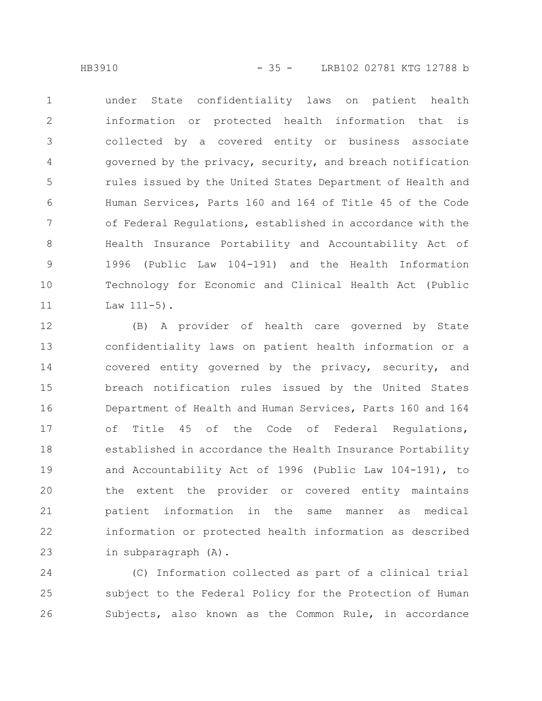under State confidentiality laws on patient health information or protected health information that is collected by a covered entity or business associate governed by the privacy, security, and breach notification rules issued by the United States Department of Health and Human Services, Parts 160 and 164 of Title 45 of the Code of Federal Regulations, established in accordance with the Health Insurance Portability and Accountability Act of 1996 (Public Law 104-191) and the Health Information Technology for Economic and Clinical Health Act (Public  $Law 111-5$ ). 1 2 3 4 5 6 7 8 9 10 11

(B) A provider of health care governed by State confidentiality laws on patient health information or a covered entity governed by the privacy, security, and breach notification rules issued by the United States Department of Health and Human Services, Parts 160 and 164 of Title 45 of the Code of Federal Regulations, established in accordance the Health Insurance Portability and Accountability Act of 1996 (Public Law 104-191), to the extent the provider or covered entity maintains patient information in the same manner as medical information or protected health information as described in subparagraph (A). 12 13 14 15 16 17 18 19 20 21 22 23

(C) Information collected as part of a clinical trial subject to the Federal Policy for the Protection of Human Subjects, also known as the Common Rule, in accordance 24 25 26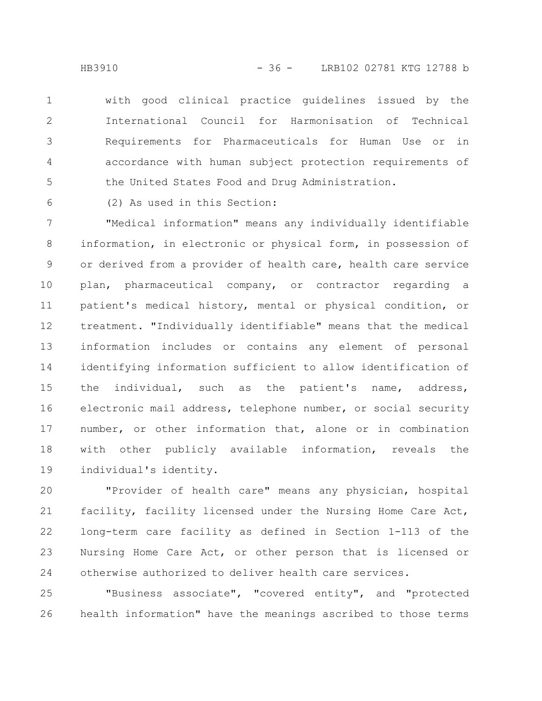with good clinical practice guidelines issued by the International Council for Harmonisation of Technical Requirements for Pharmaceuticals for Human Use or in accordance with human subject protection requirements of the United States Food and Drug Administration. 1 2 3 4 5

(2) As used in this Section: 6

"Medical information" means any individually identifiable information, in electronic or physical form, in possession of or derived from a provider of health care, health care service plan, pharmaceutical company, or contractor regarding a patient's medical history, mental or physical condition, or treatment. "Individually identifiable" means that the medical information includes or contains any element of personal identifying information sufficient to allow identification of the individual, such as the patient's name, address, electronic mail address, telephone number, or social security number, or other information that, alone or in combination with other publicly available information, reveals the individual's identity. 7 8 9 10 11 12 13 14 15 16 17 18 19

"Provider of health care" means any physician, hospital facility, facility licensed under the Nursing Home Care Act, long-term care facility as defined in Section 1-113 of the Nursing Home Care Act, or other person that is licensed or otherwise authorized to deliver health care services. 20 21 22 23 24

"Business associate", "covered entity", and "protected health information" have the meanings ascribed to those terms 25 26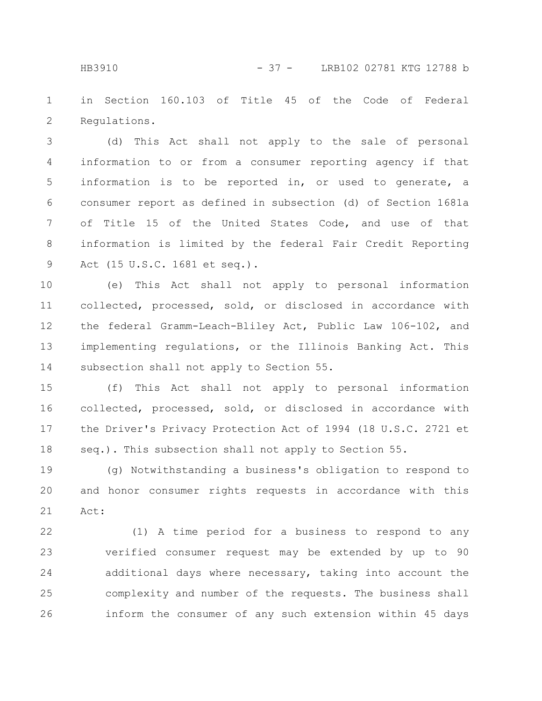in Section 160.103 of Title 45 of the Code of Federal Regulations. 1 2

(d) This Act shall not apply to the sale of personal information to or from a consumer reporting agency if that information is to be reported in, or used to generate, a consumer report as defined in subsection (d) of Section 1681a of Title 15 of the United States Code, and use of that information is limited by the federal Fair Credit Reporting Act (15 U.S.C. 1681 et seq.). 3 4 5 6 7 8 9

(e) This Act shall not apply to personal information collected, processed, sold, or disclosed in accordance with the federal Gramm-Leach-Bliley Act, Public Law 106-102, and implementing regulations, or the Illinois Banking Act. This subsection shall not apply to Section 55. 10 11 12 13 14

(f) This Act shall not apply to personal information collected, processed, sold, or disclosed in accordance with the Driver's Privacy Protection Act of 1994 (18 U.S.C. 2721 et seq.). This subsection shall not apply to Section 55. 15 16 17 18

(g) Notwithstanding a business's obligation to respond to and honor consumer rights requests in accordance with this Act: 19 20 21

(1) A time period for a business to respond to any verified consumer request may be extended by up to 90 additional days where necessary, taking into account the complexity and number of the requests. The business shall inform the consumer of any such extension within 45 days 22 23 24 25 26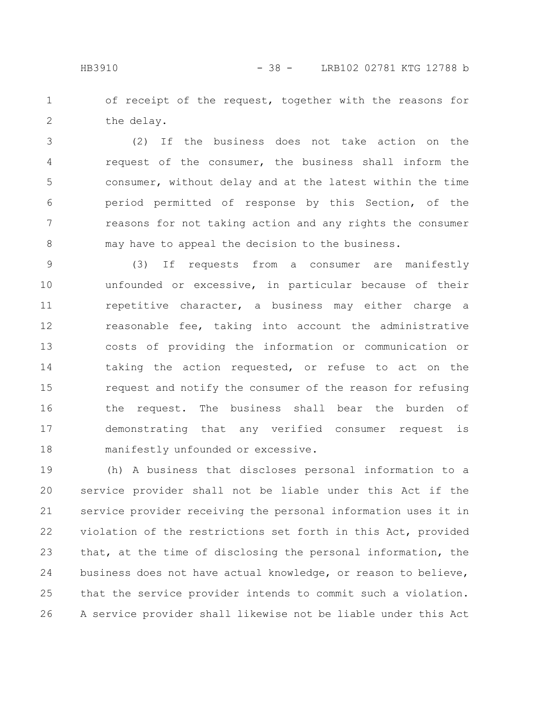of receipt of the request, together with the reasons for the delay. 1 2

(2) If the business does not take action on the request of the consumer, the business shall inform the consumer, without delay and at the latest within the time period permitted of response by this Section, of the reasons for not taking action and any rights the consumer may have to appeal the decision to the business. 3 4 5 6 7 8

(3) If requests from a consumer are manifestly unfounded or excessive, in particular because of their repetitive character, a business may either charge a reasonable fee, taking into account the administrative costs of providing the information or communication or taking the action requested, or refuse to act on the request and notify the consumer of the reason for refusing the request. The business shall bear the burden of demonstrating that any verified consumer request is manifestly unfounded or excessive. 9 10 11 12 13 14 15 16 17 18

(h) A business that discloses personal information to a service provider shall not be liable under this Act if the service provider receiving the personal information uses it in violation of the restrictions set forth in this Act, provided that, at the time of disclosing the personal information, the business does not have actual knowledge, or reason to believe, that the service provider intends to commit such a violation. A service provider shall likewise not be liable under this Act 19 20 21 22 23 24 25 26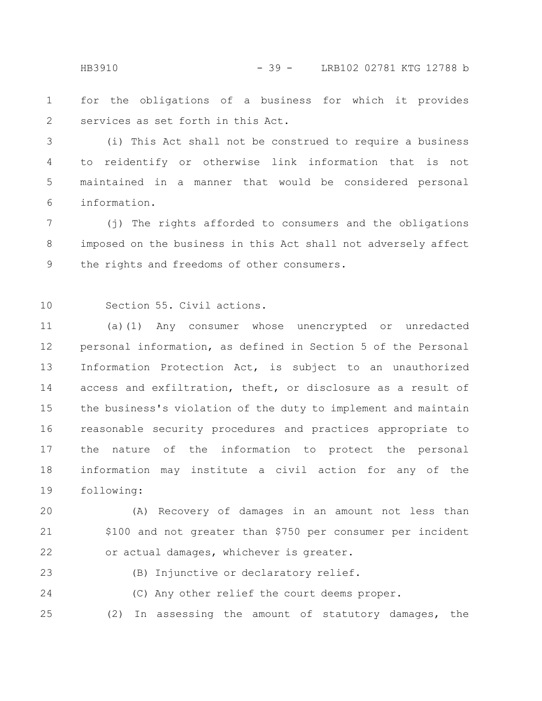for the obligations of a business for which it provides services as set forth in this Act. 1 2

(i) This Act shall not be construed to require a business to reidentify or otherwise link information that is not maintained in a manner that would be considered personal information. 3 4 5 6

(j) The rights afforded to consumers and the obligations imposed on the business in this Act shall not adversely affect the rights and freedoms of other consumers. 7 8 9

Section 55. Civil actions. 10

(a)(1) Any consumer whose unencrypted or unredacted personal information, as defined in Section 5 of the Personal Information Protection Act, is subject to an unauthorized access and exfiltration, theft, or disclosure as a result of the business's violation of the duty to implement and maintain reasonable security procedures and practices appropriate to the nature of the information to protect the personal information may institute a civil action for any of the following: 11 12 13 14 15 16 17 18 19

(A) Recovery of damages in an amount not less than \$100 and not greater than \$750 per consumer per incident or actual damages, whichever is greater. 20 21 22

23

(B) Injunctive or declaratory relief.

(C) Any other relief the court deems proper. 24

25

(2) In assessing the amount of statutory damages, the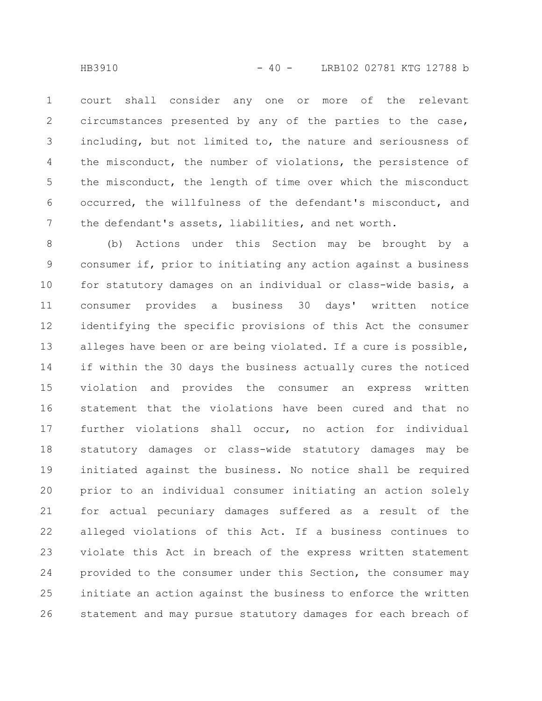court shall consider any one or more of the relevant circumstances presented by any of the parties to the case, including, but not limited to, the nature and seriousness of the misconduct, the number of violations, the persistence of the misconduct, the length of time over which the misconduct occurred, the willfulness of the defendant's misconduct, and the defendant's assets, liabilities, and net worth. 1 2 3 4 5 6 7

(b) Actions under this Section may be brought by a consumer if, prior to initiating any action against a business for statutory damages on an individual or class-wide basis, a consumer provides a business 30 days' written notice identifying the specific provisions of this Act the consumer alleges have been or are being violated. If a cure is possible, if within the 30 days the business actually cures the noticed violation and provides the consumer an express written statement that the violations have been cured and that no further violations shall occur, no action for individual statutory damages or class-wide statutory damages may be initiated against the business. No notice shall be required prior to an individual consumer initiating an action solely for actual pecuniary damages suffered as a result of the alleged violations of this Act. If a business continues to violate this Act in breach of the express written statement provided to the consumer under this Section, the consumer may initiate an action against the business to enforce the written statement and may pursue statutory damages for each breach of 8 9 10 11 12 13 14 15 16 17 18 19 20 21 22 23 24 25 26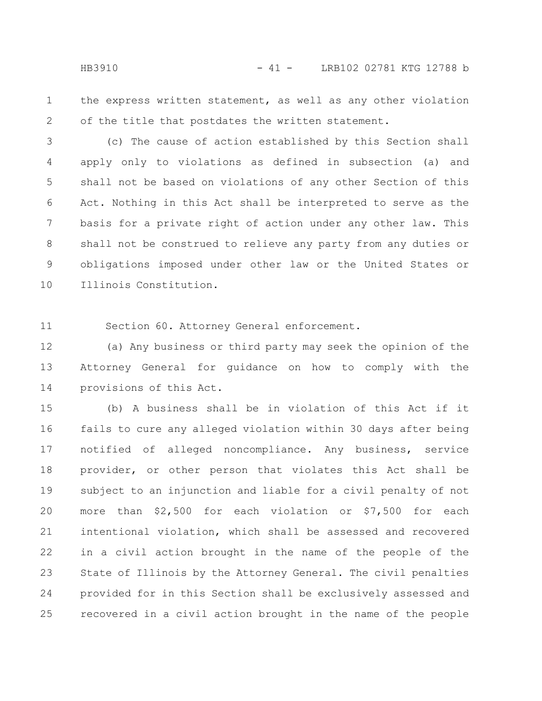the express written statement, as well as any other violation of the title that postdates the written statement. 1 2

(c) The cause of action established by this Section shall apply only to violations as defined in subsection (a) and shall not be based on violations of any other Section of this Act. Nothing in this Act shall be interpreted to serve as the basis for a private right of action under any other law. This shall not be construed to relieve any party from any duties or obligations imposed under other law or the United States or Illinois Constitution. 3 4 5 6 7 8 9 10

Section 60. Attorney General enforcement. 11

(a) Any business or third party may seek the opinion of the Attorney General for guidance on how to comply with the provisions of this Act. 12 13 14

(b) A business shall be in violation of this Act if it fails to cure any alleged violation within 30 days after being notified of alleged noncompliance. Any business, service provider, or other person that violates this Act shall be subject to an injunction and liable for a civil penalty of not more than \$2,500 for each violation or \$7,500 for each intentional violation, which shall be assessed and recovered in a civil action brought in the name of the people of the State of Illinois by the Attorney General. The civil penalties provided for in this Section shall be exclusively assessed and recovered in a civil action brought in the name of the people 15 16 17 18 19 20 21 22 23 24 25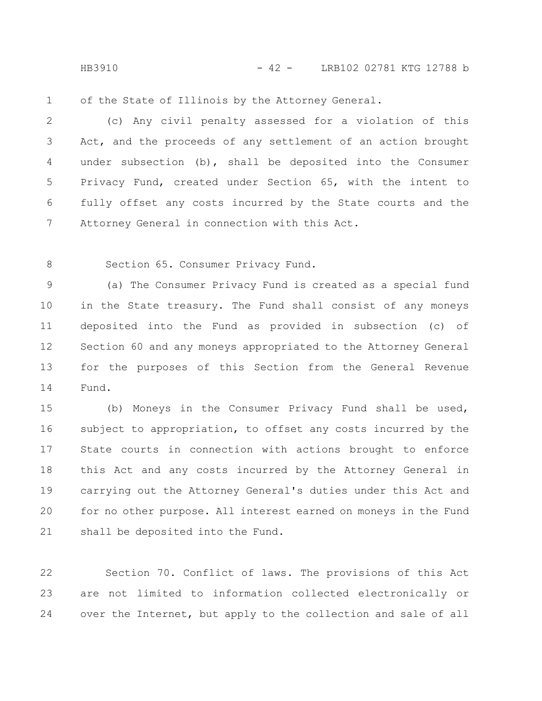HB3910 - 42 - LRB102 02781 KTG 12788 b

of the State of Illinois by the Attorney General. 1

(c) Any civil penalty assessed for a violation of this Act, and the proceeds of any settlement of an action brought under subsection (b), shall be deposited into the Consumer Privacy Fund, created under Section 65, with the intent to fully offset any costs incurred by the State courts and the Attorney General in connection with this Act. 2 3 4 5 6 7

Section 65. Consumer Privacy Fund. 8

(a) The Consumer Privacy Fund is created as a special fund in the State treasury. The Fund shall consist of any moneys deposited into the Fund as provided in subsection (c) of Section 60 and any moneys appropriated to the Attorney General for the purposes of this Section from the General Revenue Fund. 9 10 11 12 13 14

(b) Moneys in the Consumer Privacy Fund shall be used, subject to appropriation, to offset any costs incurred by the State courts in connection with actions brought to enforce this Act and any costs incurred by the Attorney General in carrying out the Attorney General's duties under this Act and for no other purpose. All interest earned on moneys in the Fund shall be deposited into the Fund. 15 16 17 18 19 20 21

Section 70. Conflict of laws. The provisions of this Act are not limited to information collected electronically or over the Internet, but apply to the collection and sale of all 22 23 24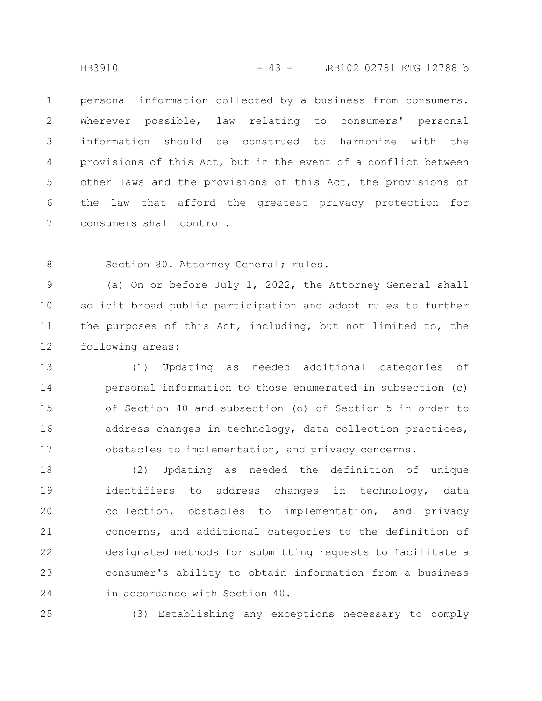personal information collected by a business from consumers. Wherever possible, law relating to consumers' personal information should be construed to harmonize with the provisions of this Act, but in the event of a conflict between other laws and the provisions of this Act, the provisions of the law that afford the greatest privacy protection for consumers shall control. 1 2 3 4 5 6 7

8

Section 80. Attorney General; rules.

(a) On or before July 1, 2022, the Attorney General shall solicit broad public participation and adopt rules to further the purposes of this Act, including, but not limited to, the following areas: 9 10 11 12

(1) Updating as needed additional categories of personal information to those enumerated in subsection (c) of Section 40 and subsection (o) of Section 5 in order to address changes in technology, data collection practices, obstacles to implementation, and privacy concerns. 13 14 15 16 17

(2) Updating as needed the definition of unique identifiers to address changes in technology, data collection, obstacles to implementation, and privacy concerns, and additional categories to the definition of designated methods for submitting requests to facilitate a consumer's ability to obtain information from a business in accordance with Section 40. 18 19 20 21 22 23 24

25

(3) Establishing any exceptions necessary to comply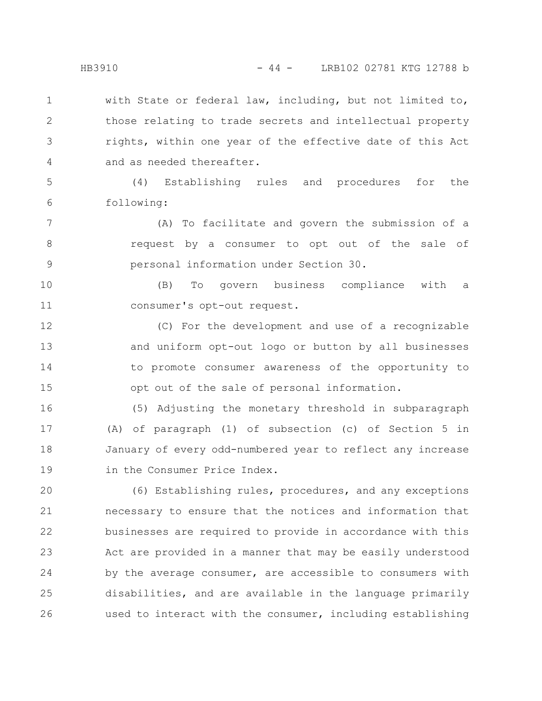with State or federal law, including, but not limited to, those relating to trade secrets and intellectual property rights, within one year of the effective date of this Act and as needed thereafter. 1 2 3 4

(4) Establishing rules and procedures for the following: 5 6

(A) To facilitate and govern the submission of a request by a consumer to opt out of the sale of personal information under Section 30. 7 8 9

(B) To govern business compliance with a consumer's opt-out request. 10 11

(C) For the development and use of a recognizable and uniform opt-out logo or button by all businesses to promote consumer awareness of the opportunity to opt out of the sale of personal information. 12 13 14 15

(5) Adjusting the monetary threshold in subparagraph (A) of paragraph (1) of subsection (c) of Section 5 in January of every odd-numbered year to reflect any increase in the Consumer Price Index. 16 17 18 19

(6) Establishing rules, procedures, and any exceptions necessary to ensure that the notices and information that businesses are required to provide in accordance with this Act are provided in a manner that may be easily understood by the average consumer, are accessible to consumers with disabilities, and are available in the language primarily used to interact with the consumer, including establishing 20 21 22 23 24 25 26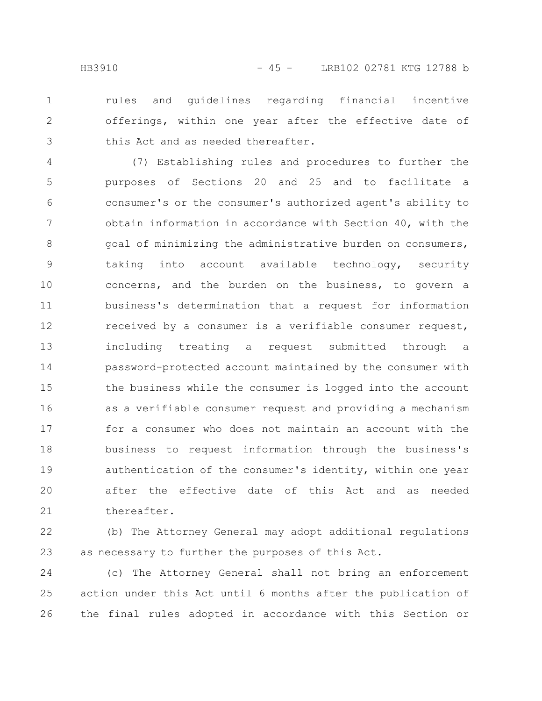rules and guidelines regarding financial incentive offerings, within one year after the effective date of this Act and as needed thereafter. 1 2 3

(7) Establishing rules and procedures to further the purposes of Sections 20 and 25 and to facilitate a consumer's or the consumer's authorized agent's ability to obtain information in accordance with Section 40, with the goal of minimizing the administrative burden on consumers, taking into account available technology, security concerns, and the burden on the business, to govern a business's determination that a request for information received by a consumer is a verifiable consumer request, including treating a request submitted through a password-protected account maintained by the consumer with the business while the consumer is logged into the account as a verifiable consumer request and providing a mechanism for a consumer who does not maintain an account with the business to request information through the business's authentication of the consumer's identity, within one year after the effective date of this Act and as needed thereafter. 4 5 6 7 8 9 10 11 12 13 14 15 16 17 18 19 20 21

(b) The Attorney General may adopt additional regulations as necessary to further the purposes of this Act. 22 23

(c) The Attorney General shall not bring an enforcement action under this Act until 6 months after the publication of the final rules adopted in accordance with this Section or 24 25 26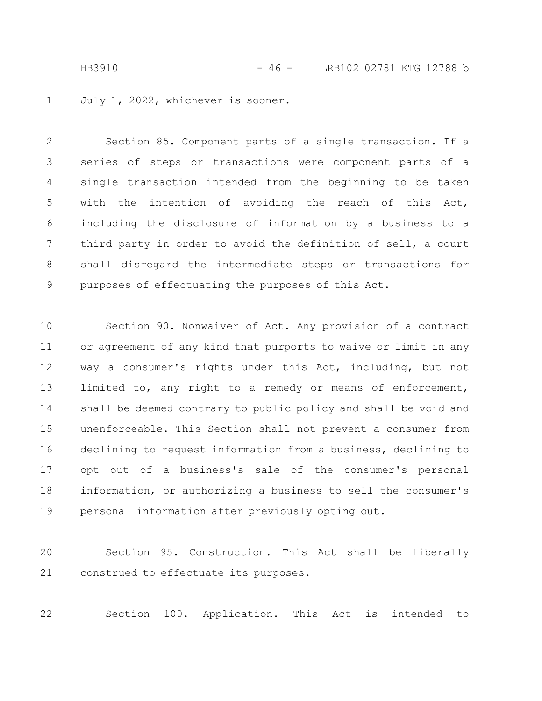HB3910 - 46 - LRB102 02781 KTG 12788 b

July 1, 2022, whichever is sooner. 1

Section 85. Component parts of a single transaction. If a series of steps or transactions were component parts of a single transaction intended from the beginning to be taken with the intention of avoiding the reach of this Act, including the disclosure of information by a business to a third party in order to avoid the definition of sell, a court shall disregard the intermediate steps or transactions for purposes of effectuating the purposes of this Act. 2 3 4 5 6 7 8 9

Section 90. Nonwaiver of Act. Any provision of a contract or agreement of any kind that purports to waive or limit in any way a consumer's rights under this Act, including, but not limited to, any right to a remedy or means of enforcement, shall be deemed contrary to public policy and shall be void and unenforceable. This Section shall not prevent a consumer from declining to request information from a business, declining to opt out of a business's sale of the consumer's personal information, or authorizing a business to sell the consumer's personal information after previously opting out. 10 11 12 13 14 15 16 17 18 19

Section 95. Construction. This Act shall be liberally construed to effectuate its purposes. 20 21

Section 100. Application. This Act is intended to 22